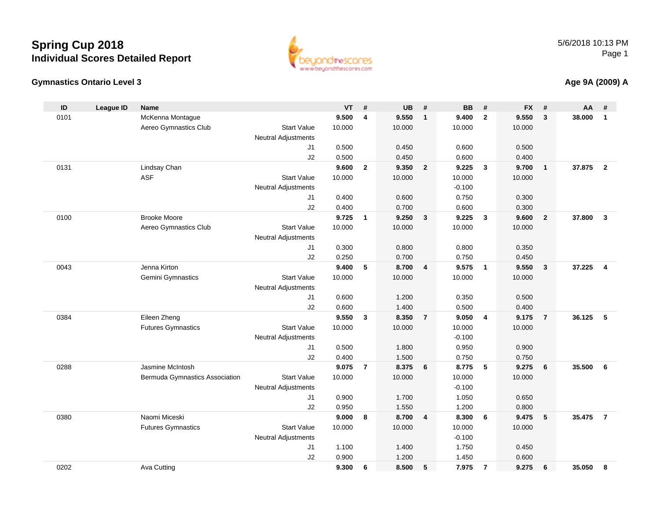### **Gymnastics Ontario Level 3**

5/6/2018 10:13 PMPage 1

# www.beyondthescores.com

| ID   | <b>League ID</b> | <b>Name</b>                    |                            | <b>VT</b> | #                       | <b>UB</b> | #              | <b>BB</b> | #              | <b>FX</b> | #              | AA     | #                       |
|------|------------------|--------------------------------|----------------------------|-----------|-------------------------|-----------|----------------|-----------|----------------|-----------|----------------|--------|-------------------------|
| 0101 |                  | McKenna Montague               |                            | 9.500     | $\overline{\mathbf{4}}$ | 9.550     | $\mathbf{1}$   | 9.400     | $\mathbf{2}$   | 9.550     | 3              | 38.000 | $\mathbf{1}$            |
|      |                  | Aereo Gymnastics Club          | <b>Start Value</b>         | 10.000    |                         | 10.000    |                | 10.000    |                | 10.000    |                |        |                         |
|      |                  |                                | <b>Neutral Adjustments</b> |           |                         |           |                |           |                |           |                |        |                         |
|      |                  |                                | J <sub>1</sub>             | 0.500     |                         | 0.450     |                | 0.600     |                | 0.500     |                |        |                         |
|      |                  |                                | J2                         | 0.500     |                         | 0.450     |                | 0.600     |                | 0.400     |                |        |                         |
| 0131 |                  | Lindsay Chan                   |                            | 9.600     | $\overline{2}$          | 9.350     | $\overline{2}$ | 9.225     | 3              | 9.700     | $\mathbf{1}$   | 37.875 | $\overline{2}$          |
|      |                  | ASF                            | <b>Start Value</b>         | 10.000    |                         | 10.000    |                | 10.000    |                | 10.000    |                |        |                         |
|      |                  |                                | <b>Neutral Adjustments</b> |           |                         |           |                | $-0.100$  |                |           |                |        |                         |
|      |                  |                                | J1                         | 0.400     |                         | 0.600     |                | 0.750     |                | 0.300     |                |        |                         |
|      |                  |                                | J2                         | 0.400     |                         | 0.700     |                | 0.600     |                | 0.300     |                |        |                         |
| 0100 |                  | <b>Brooke Moore</b>            |                            | 9.725     | $\overline{\mathbf{1}}$ | 9.250     | 3              | 9.225     | 3              | 9.600     | $\mathbf{2}$   | 37.800 | $\mathbf{3}$            |
|      |                  | Aereo Gymnastics Club          | <b>Start Value</b>         | 10.000    |                         | 10.000    |                | 10.000    |                | 10.000    |                |        |                         |
|      |                  |                                | <b>Neutral Adjustments</b> |           |                         |           |                |           |                |           |                |        |                         |
|      |                  |                                | J1                         | 0.300     |                         | 0.800     |                | 0.800     |                | 0.350     |                |        |                         |
|      |                  |                                | J2                         | 0.250     |                         | 0.700     |                | 0.750     |                | 0.450     |                |        |                         |
| 0043 |                  | Jenna Kirton                   |                            | 9.400     | 5                       | 8.700     | $\overline{4}$ | 9.575     | $\mathbf{1}$   | 9.550     | $\mathbf{3}$   | 37.225 | $\overline{\mathbf{4}}$ |
|      |                  | Gemini Gymnastics              | <b>Start Value</b>         | 10.000    |                         | 10.000    |                | 10.000    |                | 10.000    |                |        |                         |
|      |                  |                                | <b>Neutral Adjustments</b> |           |                         |           |                |           |                |           |                |        |                         |
|      |                  |                                | J1                         | 0.600     |                         | 1.200     |                | 0.350     |                | 0.500     |                |        |                         |
|      |                  |                                | J2                         | 0.600     |                         | 1.400     |                | 0.500     |                | 0.400     |                |        |                         |
| 0384 |                  | Eileen Zheng                   |                            | 9.550     | $\mathbf{3}$            | 8.350     | $\overline{7}$ | 9.050     | 4              | 9.175     | $\overline{7}$ | 36.125 | 5                       |
|      |                  | <b>Futures Gymnastics</b>      | <b>Start Value</b>         | 10.000    |                         | 10.000    |                | 10.000    |                | 10.000    |                |        |                         |
|      |                  |                                | <b>Neutral Adjustments</b> |           |                         |           |                | $-0.100$  |                |           |                |        |                         |
|      |                  |                                | J1                         | 0.500     |                         | 1.800     |                | 0.950     |                | 0.900     |                |        |                         |
|      |                  |                                | J2                         | 0.400     |                         | 1.500     |                | 0.750     |                | 0.750     |                |        |                         |
| 0288 |                  | Jasmine McIntosh               |                            | 9.075     | $\overline{7}$          | 8.375     | 6              | 8.775     | 5              | 9.275     | 6              | 35.500 | 6                       |
|      |                  | Bermuda Gymnastics Association | <b>Start Value</b>         | 10.000    |                         | 10.000    |                | 10.000    |                | 10.000    |                |        |                         |
|      |                  |                                | <b>Neutral Adjustments</b> |           |                         |           |                | $-0.100$  |                |           |                |        |                         |
|      |                  |                                | J1                         | 0.900     |                         | 1.700     |                | 1.050     |                | 0.650     |                |        |                         |
|      |                  |                                | J2                         | 0.950     |                         | 1.550     |                | 1.200     |                | 0.800     |                |        |                         |
| 0380 |                  | Naomi Miceski                  |                            | 9.000     | - 8                     | 8.700     | $\overline{4}$ | 8.300     | 6              | 9.475     | 5              | 35.475 | $\overline{7}$          |
|      |                  | <b>Futures Gymnastics</b>      | <b>Start Value</b>         | 10.000    |                         | 10.000    |                | 10.000    |                | 10.000    |                |        |                         |
|      |                  |                                | <b>Neutral Adjustments</b> |           |                         |           |                | $-0.100$  |                |           |                |        |                         |
|      |                  |                                | J1                         | 1.100     |                         | 1.400     |                | 1.750     |                | 0.450     |                |        |                         |
|      |                  |                                | J2                         | 0.900     |                         | 1.200     |                | 1.450     |                | 0.600     |                |        |                         |
| 0202 |                  | Ava Cutting                    |                            | 9.300     | 6                       | 8.500     | 5              | 7.975     | $\overline{7}$ | 9.275     | 6              | 35.050 | - 8                     |

#### **Age 9A (2009) A**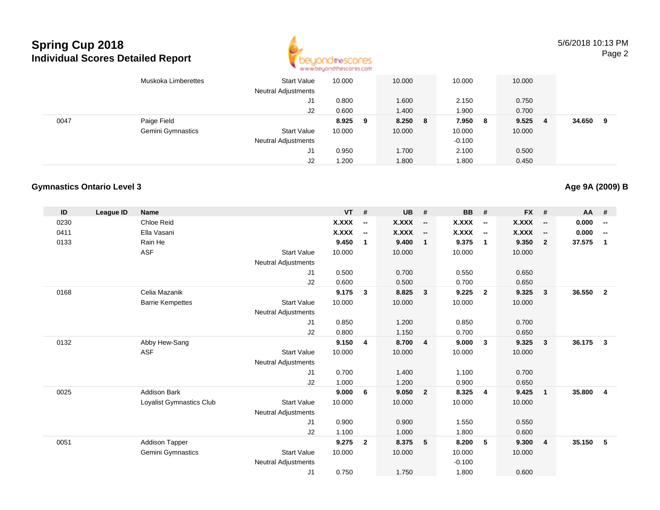

5/6/2018 10:13 PMPage 2

|      | Muskoka Limberettes | Start Value<br><b>Neutral Adjustments</b> | 10.000  | 10.000  | 10.000       | 10.000       |             |
|------|---------------------|-------------------------------------------|---------|---------|--------------|--------------|-------------|
|      |                     | J1                                        | 0.800   | 1.600   | 2.150        | 0.750        |             |
|      |                     | J2                                        | 0.600   | 1.400   | 1.900        | 0.700        |             |
| 0047 | Paige Field         |                                           | 8.925 9 | 8.250 8 | 7.950<br>- 8 | 9.525<br>- 4 | 34.650<br>9 |
|      | Gemini Gymnastics   | <b>Start Value</b>                        | 10.000  | 10.000  | 10.000       | 10.000       |             |
|      |                     | <b>Neutral Adjustments</b>                |         |         | $-0.100$     |              |             |
|      |                     | J1                                        | 0.950   | 1.700   | 2.100        | 0.500        |             |
|      |                     | J2                                        | .200    | 1.800   | 1.800        | 0.450        |             |

#### **Gymnastics Ontario Level 3**

| ID   | <b>League ID</b> | <b>Name</b>              |                            | VT           | #                        | <b>UB</b>    | #                        | <b>BB</b> | #                        | $FX$ #       |                          | <b>AA</b> | #                        |
|------|------------------|--------------------------|----------------------------|--------------|--------------------------|--------------|--------------------------|-----------|--------------------------|--------------|--------------------------|-----------|--------------------------|
| 0230 |                  | Chloe Reid               |                            | X.XXX        | $\overline{\phantom{a}}$ | X.XXX        | $\overline{\phantom{a}}$ | X.XXX     | $\overline{\phantom{a}}$ | <b>X.XXX</b> | $\overline{\phantom{a}}$ | 0.000     | $\overline{\phantom{a}}$ |
| 0411 |                  | Ella Vasani              |                            | <b>X.XXX</b> | $\overline{\phantom{a}}$ | <b>X.XXX</b> | $\overline{\phantom{a}}$ | X.XXX     | $\overline{\phantom{a}}$ | <b>X.XXX</b> | $\overline{\phantom{a}}$ | 0.000     | $\overline{\phantom{a}}$ |
| 0133 |                  | Rain He                  |                            | 9.450        | $\mathbf{1}$             | 9.400        | $\mathbf{1}$             | 9.375     | $\overline{1}$           | 9.350        | $\overline{2}$           | 37.575    | $\mathbf{1}$             |
|      |                  | <b>ASF</b>               | <b>Start Value</b>         | 10.000       |                          | 10.000       |                          | 10.000    |                          | 10.000       |                          |           |                          |
|      |                  |                          | <b>Neutral Adjustments</b> |              |                          |              |                          |           |                          |              |                          |           |                          |
|      |                  |                          | J1                         | 0.500        |                          | 0.700        |                          | 0.550     |                          | 0.650        |                          |           |                          |
|      |                  |                          | J2                         | 0.600        |                          | 0.500        |                          | 0.700     |                          | 0.650        |                          |           |                          |
| 0168 |                  | Celia Mazanik            |                            | 9.175        | 3                        | 8.825        | 3                        | 9.225     | $\overline{2}$           | 9.325        | 3                        | 36.550    | $\overline{2}$           |
|      |                  | <b>Barrie Kempettes</b>  | <b>Start Value</b>         | 10.000       |                          | 10.000       |                          | 10.000    |                          | 10.000       |                          |           |                          |
|      |                  |                          | <b>Neutral Adjustments</b> |              |                          |              |                          |           |                          |              |                          |           |                          |
|      |                  |                          | J1                         | 0.850        |                          | 1.200        |                          | 0.850     |                          | 0.700        |                          |           |                          |
|      |                  |                          | J2                         | 0.800        |                          | 1.150        |                          | 0.700     |                          | 0.650        |                          |           |                          |
| 0132 |                  | Abby Hew-Sang            |                            | 9.150        | 4                        | 8.700        | $\overline{4}$           | 9.000     | $\mathbf{3}$             | 9.325        | $\mathbf{3}$             | 36.175    | $\mathbf{3}$             |
|      |                  | <b>ASF</b>               | <b>Start Value</b>         | 10.000       |                          | 10.000       |                          | 10.000    |                          | 10.000       |                          |           |                          |
|      |                  |                          | <b>Neutral Adjustments</b> |              |                          |              |                          |           |                          |              |                          |           |                          |
|      |                  |                          | J1                         | 0.700        |                          | 1.400        |                          | 1.100     |                          | 0.700        |                          |           |                          |
|      |                  |                          | J2                         | 1.000        |                          | 1.200        |                          | 0.900     |                          | 0.650        |                          |           |                          |
| 0025 |                  | <b>Addison Bark</b>      |                            | 9.000        | 6                        | 9.050        | $\overline{2}$           | 8.325     | $\overline{4}$           | 9.425        | $\overline{\mathbf{1}}$  | 35.800    | $\overline{4}$           |
|      |                  | Loyalist Gymnastics Club | <b>Start Value</b>         | 10.000       |                          | 10.000       |                          | 10.000    |                          | 10.000       |                          |           |                          |
|      |                  |                          | <b>Neutral Adjustments</b> |              |                          |              |                          |           |                          |              |                          |           |                          |
|      |                  |                          | J1                         | 0.900        |                          | 0.900        |                          | 1.550     |                          | 0.550        |                          |           |                          |
|      |                  |                          | J2                         | 1.100        |                          | 1.000        |                          | 1.800     |                          | 0.600        |                          |           |                          |
| 0051 |                  | <b>Addison Tapper</b>    |                            | 9.275        | $\overline{2}$           | 8.375        | 5                        | 8.200     | -5                       | 9.300        | $\overline{4}$           | 35.150    | 5                        |
|      |                  | Gemini Gymnastics        | <b>Start Value</b>         | 10.000       |                          | 10.000       |                          | 10.000    |                          | 10.000       |                          |           |                          |
|      |                  |                          | <b>Neutral Adjustments</b> |              |                          |              |                          | $-0.100$  |                          |              |                          |           |                          |
|      |                  |                          | J <sub>1</sub>             | 0.750        |                          | 1.750        |                          | 1.800     |                          | 0.600        |                          |           |                          |
|      |                  |                          |                            |              |                          |              |                          |           |                          |              |                          |           |                          |

### **Age 9A (2009) B**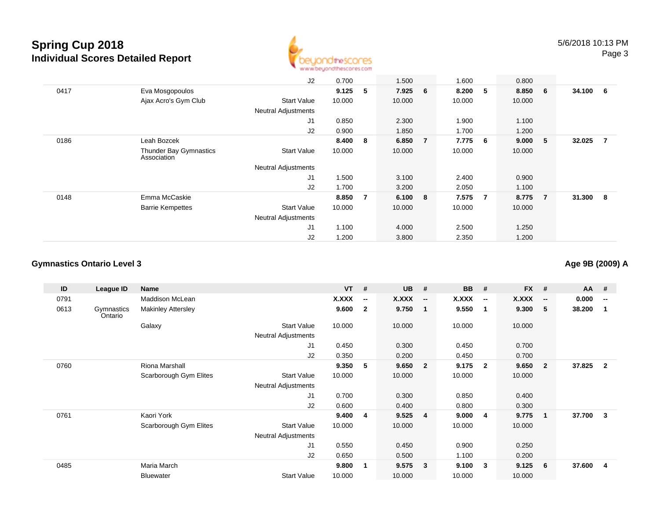

|      |                                              | J2                         | 0.700  |                | 1.500   |                | 1.600   |   | 0.800  |                |        |                |
|------|----------------------------------------------|----------------------------|--------|----------------|---------|----------------|---------|---|--------|----------------|--------|----------------|
| 0417 | Eva Mosgopoulos                              |                            | 9.125  | 5              | 7.925 6 |                | 8.200   | 5 | 8.850  | 6              | 34.100 | 6              |
|      | Ajax Acro's Gym Club                         | <b>Start Value</b>         | 10.000 |                | 10.000  |                | 10.000  |   | 10.000 |                |        |                |
|      |                                              | <b>Neutral Adjustments</b> |        |                |         |                |         |   |        |                |        |                |
|      |                                              | J1                         | 0.850  |                | 2.300   |                | 1.900   |   | 1.100  |                |        |                |
|      |                                              | J2                         | 0.900  |                | 1.850   |                | 1.700   |   | 1.200  |                |        |                |
| 0186 | Leah Bozcek                                  |                            | 8.400  | 8              | 6.850   | $\overline{7}$ | 7.775 6 |   | 9.000  | $-5$           | 32.025 | $\overline{7}$ |
|      | <b>Thunder Bay Gymnastics</b><br>Association | Start Value                | 10.000 |                | 10.000  |                | 10.000  |   | 10.000 |                |        |                |
|      |                                              | <b>Neutral Adjustments</b> |        |                |         |                |         |   |        |                |        |                |
|      |                                              | J1                         | 1.500  |                | 3.100   |                | 2.400   |   | 0.900  |                |        |                |
|      |                                              | J2                         | 1.700  |                | 3.200   |                | 2.050   |   | 1.100  |                |        |                |
| 0148 | Emma McCaskie                                |                            | 8.850  | $\overline{7}$ | 6.100 8 |                | 7.575   | 7 | 8.775  | $\overline{7}$ | 31.300 | - 8            |
|      | <b>Barrie Kempettes</b>                      | <b>Start Value</b>         | 10.000 |                | 10.000  |                | 10.000  |   | 10.000 |                |        |                |
|      |                                              | <b>Neutral Adjustments</b> |        |                |         |                |         |   |        |                |        |                |
|      |                                              | J <sub>1</sub>             | 1.100  |                | 4.000   |                | 2.500   |   | 1.250  |                |        |                |
|      |                                              | J2                         | 1.200  |                | 3.800   |                | 2.350   |   | 1.200  |                |        |                |

#### **Gymnastics Ontario Level 3**

**ID League ID Name VT # UB # BB # FX # AA #** 0791Maddison McLean **X.XXX**<br>Makinley Attersley **X.XXX**<br>9.600 **-- X.XXX -- X.XXX -- X.XXX -- 0.000 --** 0613 Gymnastics OntarioMakinley Attersley **9.600 <sup>2</sup> 9.750 <sup>1</sup> 9.550 <sup>1</sup> 9.300 <sup>5</sup> 38.200 <sup>1</sup> Galaxy**  Start Valuee 10.000 10.000 10.000 10.000 Neutral Adjustments J1 0.450 0.300 0.450 0.700 J2 0.350 0.200 0.450 0.700 0760 Riona Marshall **9.350 <sup>5</sup> 9.650 <sup>2</sup> 9.175 <sup>2</sup> 9.650 <sup>2</sup> 37.825 <sup>2</sup>** Scarborough Gym Elites Start Valuee 10.000 10.000 10.000 10.000 Neutral Adjustments J1 0.700 0.300 0.850 0.400 J2 0.600 0.400 0.800 0.300 0761 Kaori York **9.400 <sup>4</sup> 9.525 <sup>4</sup> 9.000 <sup>4</sup> 9.775 <sup>1</sup> 37.700 <sup>3</sup>** Scarborough Gym Elites Start Valuee 10.000 10.000 10.000 10.000 Neutral Adjustments J1 0.550 0.450 0.900 0.250 J2 0.650 0.500 1.100 0.200 0485 Maria March **9.800 <sup>1</sup> 9.575 <sup>3</sup> 9.100 <sup>3</sup> 9.125 <sup>6</sup> 37.600 <sup>4</sup>** Bluewater Start Valuee 10.000 10.000 10.000 10.000

**Age 9B (2009) A**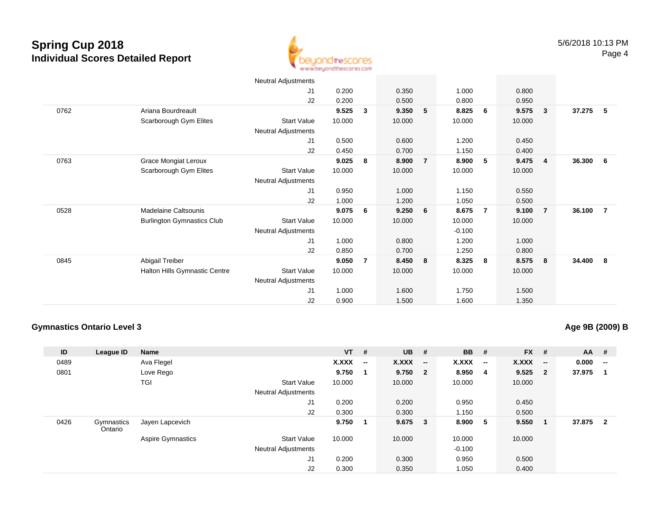

|      |                                   | <b>Neutral Adjustments</b> |        |                |        |                         |          |                |        |                |        |     |
|------|-----------------------------------|----------------------------|--------|----------------|--------|-------------------------|----------|----------------|--------|----------------|--------|-----|
|      |                                   | J <sub>1</sub>             | 0.200  |                | 0.350  |                         | 1.000    |                | 0.800  |                |        |     |
|      |                                   | J2                         | 0.200  |                | 0.500  |                         | 0.800    |                | 0.950  |                |        |     |
| 0762 | Ariana Bourdreault                |                            | 9.525  | 3              | 9.350  | 5                       | 8.825    | - 6            | 9.575  | 3              | 37.275 | 5   |
|      | Scarborough Gym Elites            | Start Value                | 10.000 |                | 10.000 |                         | 10.000   |                | 10.000 |                |        |     |
|      |                                   | Neutral Adjustments        |        |                |        |                         |          |                |        |                |        |     |
|      |                                   | J <sub>1</sub>             | 0.500  |                | 0.600  |                         | 1.200    |                | 0.450  |                |        |     |
|      |                                   | J <sub>2</sub>             | 0.450  |                | 0.700  |                         | 1.150    |                | 0.400  |                |        |     |
| 0763 | Grace Mongiat Leroux              |                            | 9.025  | 8              | 8.900  | $\overline{7}$          | 8.900    | 5              | 9.475  | $\overline{4}$ | 36.300 | 6   |
|      | Scarborough Gym Elites            | <b>Start Value</b>         | 10.000 |                | 10.000 |                         | 10.000   |                | 10.000 |                |        |     |
|      |                                   | Neutral Adjustments        |        |                |        |                         |          |                |        |                |        |     |
|      |                                   | J1                         | 0.950  |                | 1.000  |                         | 1.150    |                | 0.550  |                |        |     |
|      |                                   | J2                         | 1.000  |                | 1.200  |                         | 1.050    |                | 0.500  |                |        |     |
| 0528 | Madelaine Caltsounis              |                            | 9.075  | 6              | 9.250  | $6\phantom{.0}6$        | 8.675    | $\overline{7}$ | 9.100  | $\overline{7}$ | 36.100 | 7   |
|      | <b>Burlington Gymnastics Club</b> | Start Value                | 10.000 |                | 10.000 |                         | 10.000   |                | 10.000 |                |        |     |
|      |                                   | <b>Neutral Adjustments</b> |        |                |        |                         | $-0.100$ |                |        |                |        |     |
|      |                                   | J1                         | 1.000  |                | 0.800  |                         | 1.200    |                | 1.000  |                |        |     |
|      |                                   | J2                         | 0.850  |                | 0.700  |                         | 1.250    |                | 0.800  |                |        |     |
| 0845 | Abigail Treiber                   |                            | 9.050  | $\overline{7}$ | 8.450  | $\overline{\mathbf{8}}$ | 8.325    | 8              | 8.575  | 8              | 34.400 | - 8 |
|      | Halton Hills Gymnastic Centre     | <b>Start Value</b>         | 10.000 |                | 10.000 |                         | 10.000   |                | 10.000 |                |        |     |
|      |                                   | Neutral Adjustments        |        |                |        |                         |          |                |        |                |        |     |
|      |                                   | J1                         | 1.000  |                | 1.600  |                         | 1.750    |                | 1.500  |                |        |     |
|      |                                   | J2                         | 0.900  |                | 1.500  |                         | 1.600    |                | 1.350  |                |        |     |

#### **Gymnastics Ontario Level 3**

### **Age 9B (2009) B**

| ID   | League ID             | <b>Name</b>              |                            | <b>VT</b> | #                        | $UB$ #       |                          | <b>BB</b> #  |                          | $FX$ # |                         | $AA$ #   |                                                |
|------|-----------------------|--------------------------|----------------------------|-----------|--------------------------|--------------|--------------------------|--------------|--------------------------|--------|-------------------------|----------|------------------------------------------------|
| 0489 |                       | Ava Flegel               |                            | X.XXX     | $\overline{\phantom{a}}$ | <b>X.XXX</b> | $\overline{\phantom{a}}$ | <b>X.XXX</b> | $\overline{\phantom{a}}$ | X.XXX  | $\sim$                  | 0.000    | $\hspace{0.1mm}-\hspace{0.1mm}-\hspace{0.1mm}$ |
| 0801 |                       | Love Rego                |                            | 9.750     | 1                        | 9.750        | $\overline{\mathbf{2}}$  | 8.950        | -4                       | 9.525  | $\overline{\mathbf{2}}$ | 37.975   | - 1                                            |
|      |                       | TGI                      | <b>Start Value</b>         | 10.000    |                          | 10.000       |                          | 10.000       |                          | 10.000 |                         |          |                                                |
|      |                       |                          | <b>Neutral Adjustments</b> |           |                          |              |                          |              |                          |        |                         |          |                                                |
|      |                       |                          | J <sub>1</sub>             | 0.200     |                          | 0.200        |                          | 0.950        |                          | 0.450  |                         |          |                                                |
|      |                       |                          | J2                         | 0.300     |                          | 0.300        |                          | 1.150        |                          | 0.500  |                         |          |                                                |
| 0426 | Gymnastics<br>Ontario | Jayen Lapcevich          |                            | 9.750     | $\mathbf 1$              | 9.675 3      |                          | 8.900        | 5                        | 9.550  |                         | 37.875 2 |                                                |
|      |                       | <b>Aspire Gymnastics</b> | <b>Start Value</b>         | 10.000    |                          | 10.000       |                          | 10.000       |                          | 10.000 |                         |          |                                                |
|      |                       |                          | <b>Neutral Adjustments</b> |           |                          |              |                          | $-0.100$     |                          |        |                         |          |                                                |
|      |                       |                          | J <sub>1</sub>             | 0.200     |                          | 0.300        |                          | 0.950        |                          | 0.500  |                         |          |                                                |
|      |                       |                          | J <sub>2</sub>             | 0.300     |                          | 0.350        |                          | 1.050        |                          | 0.400  |                         |          |                                                |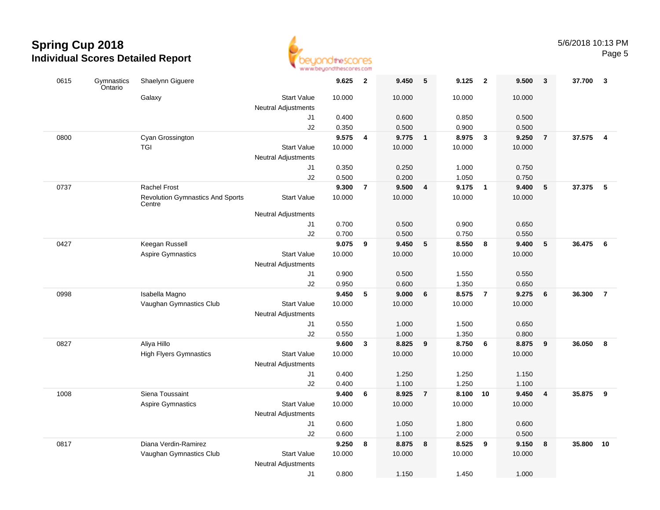

|      |                       |                                                   | <b>THE THE TRIP WERE SERV</b>             |        |                         |        |                         |        |                         |        |                         |        |                |
|------|-----------------------|---------------------------------------------------|-------------------------------------------|--------|-------------------------|--------|-------------------------|--------|-------------------------|--------|-------------------------|--------|----------------|
| 0615 | Gymnastics<br>Ontario | Shaelynn Giguere                                  |                                           | 9.625  | $\overline{\mathbf{2}}$ | 9.450  | 5                       | 9.125  | $\overline{\mathbf{2}}$ | 9.500  | 3                       | 37.700 | -3             |
|      |                       | Galaxy                                            | <b>Start Value</b><br>Neutral Adjustments | 10.000 |                         | 10.000 |                         | 10.000 |                         | 10.000 |                         |        |                |
|      |                       |                                                   | J1                                        | 0.400  |                         | 0.600  |                         | 0.850  |                         | 0.500  |                         |        |                |
|      |                       |                                                   | J2                                        | 0.350  |                         | 0.500  |                         | 0.900  |                         | 0.500  |                         |        |                |
| 0800 |                       | Cyan Grossington                                  |                                           | 9.575  | 4                       | 9.775  | $\overline{\mathbf{1}}$ | 8.975  | $\overline{\mathbf{3}}$ | 9.250  | $\overline{7}$          | 37.575 | $\overline{4}$ |
|      |                       | <b>TGI</b>                                        | <b>Start Value</b>                        | 10.000 |                         | 10.000 |                         | 10.000 |                         | 10.000 |                         |        |                |
|      |                       |                                                   | Neutral Adjustments                       |        |                         |        |                         |        |                         |        |                         |        |                |
|      |                       |                                                   | J1                                        | 0.350  |                         | 0.250  |                         | 1.000  |                         | 0.750  |                         |        |                |
|      |                       |                                                   | J2                                        | 0.500  |                         | 0.200  |                         | 1.050  |                         | 0.750  |                         |        |                |
| 0737 |                       | <b>Rachel Frost</b>                               |                                           | 9.300  | $\overline{7}$          | 9.500  | 4                       | 9.175  | $\blacksquare$          | 9.400  | 5                       | 37.375 | $-5$           |
|      |                       | <b>Revolution Gymnastics And Sports</b><br>Centre | <b>Start Value</b>                        | 10.000 |                         | 10.000 |                         | 10.000 |                         | 10.000 |                         |        |                |
|      |                       |                                                   | Neutral Adjustments                       |        |                         |        |                         |        |                         |        |                         |        |                |
|      |                       |                                                   | J1                                        | 0.700  |                         | 0.500  |                         | 0.900  |                         | 0.650  |                         |        |                |
|      |                       |                                                   | J2                                        | 0.700  |                         | 0.500  |                         | 0.750  |                         | 0.550  |                         |        |                |
| 0427 |                       | Keegan Russell                                    |                                           | 9.075  | 9                       | 9.450  | 5                       | 8.550  | 8                       | 9.400  | 5                       | 36.475 | 6              |
|      |                       | <b>Aspire Gymnastics</b>                          | <b>Start Value</b>                        | 10.000 |                         | 10.000 |                         | 10.000 |                         | 10.000 |                         |        |                |
|      |                       |                                                   | Neutral Adjustments                       |        |                         |        |                         |        |                         |        |                         |        |                |
|      |                       |                                                   | J1                                        | 0.900  |                         | 0.500  |                         | 1.550  |                         | 0.550  |                         |        |                |
|      |                       |                                                   | J2                                        | 0.950  |                         | 0.600  |                         | 1.350  |                         | 0.650  |                         |        |                |
| 0998 |                       | Isabella Magno                                    |                                           | 9.450  | 5                       | 9.000  | 6                       | 8.575  | $\overline{7}$          | 9.275  | 6                       | 36.300 | $\overline{7}$ |
|      |                       | Vaughan Gymnastics Club                           | <b>Start Value</b>                        | 10.000 |                         | 10.000 |                         | 10.000 |                         | 10.000 |                         |        |                |
|      |                       |                                                   | <b>Neutral Adjustments</b><br>J1          | 0.550  |                         | 1.000  |                         | 1.500  |                         | 0.650  |                         |        |                |
|      |                       |                                                   | J2                                        | 0.550  |                         | 1.000  |                         | 1.350  |                         | 0.800  |                         |        |                |
| 0827 |                       | Aliya Hillo                                       |                                           | 9.600  | $\mathbf{3}$            | 8.825  | 9                       | 8.750  | 6                       | 8.875  | 9                       | 36.050 | 8              |
|      |                       | <b>High Flyers Gymnastics</b>                     | <b>Start Value</b>                        | 10.000 |                         | 10.000 |                         | 10.000 |                         | 10.000 |                         |        |                |
|      |                       |                                                   | <b>Neutral Adjustments</b>                |        |                         |        |                         |        |                         |        |                         |        |                |
|      |                       |                                                   | J1                                        | 0.400  |                         | 1.250  |                         | 1.250  |                         | 1.150  |                         |        |                |
|      |                       |                                                   | J2                                        | 0.400  |                         | 1.100  |                         | 1.250  |                         | 1.100  |                         |        |                |
| 1008 |                       | Siena Toussaint                                   |                                           | 9.400  | 6                       | 8.925  | $\overline{7}$          | 8.100  | 10                      | 9.450  | $\overline{\mathbf{4}}$ | 35.875 | 9              |
|      |                       | <b>Aspire Gymnastics</b>                          | <b>Start Value</b>                        | 10.000 |                         | 10.000 |                         | 10.000 |                         | 10.000 |                         |        |                |
|      |                       |                                                   | <b>Neutral Adjustments</b>                |        |                         |        |                         |        |                         |        |                         |        |                |
|      |                       |                                                   | J1                                        | 0.600  |                         | 1.050  |                         | 1.800  |                         | 0.600  |                         |        |                |
|      |                       |                                                   | J2                                        | 0.600  |                         | 1.100  |                         | 2.000  |                         | 0.500  |                         |        |                |
| 0817 |                       | Diana Verdin-Ramirez                              |                                           | 9.250  | 8                       | 8.875  | 8                       | 8.525  | 9                       | 9.150  | 8                       | 35.800 | 10             |
|      |                       | Vaughan Gymnastics Club                           | <b>Start Value</b>                        | 10.000 |                         | 10.000 |                         | 10.000 |                         | 10.000 |                         |        |                |
|      |                       |                                                   | Neutral Adjustments                       |        |                         |        |                         |        |                         |        |                         |        |                |
|      |                       |                                                   | J1                                        | 0.800  |                         | 1.150  |                         | 1.450  |                         | 1.000  |                         |        |                |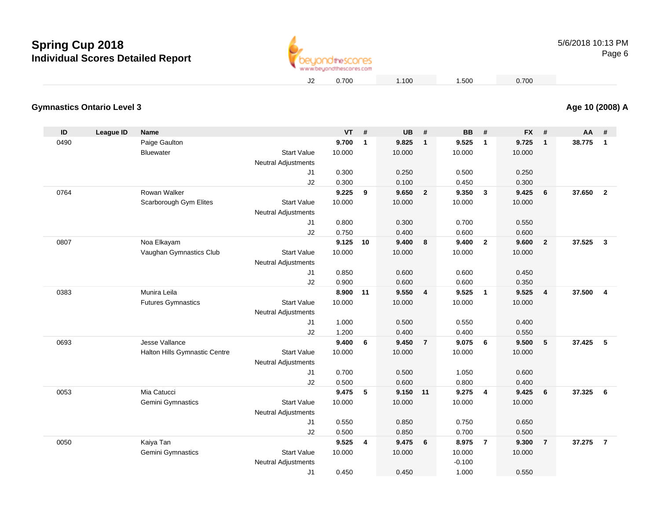

#### **Gymnastics Ontario Level 3Age 10 (2008) A**

| ID   | League ID | <b>Name</b>                   |                                                  | <b>VT</b> | #              | <b>UB</b> | #              | <b>BB</b> | #              | <b>FX</b> | #               | AA     | #                       |
|------|-----------|-------------------------------|--------------------------------------------------|-----------|----------------|-----------|----------------|-----------|----------------|-----------|-----------------|--------|-------------------------|
| 0490 |           | Paige Gaulton                 |                                                  | 9.700     | $\mathbf{1}$   | 9.825     | $\overline{1}$ | 9.525     | $\mathbf{1}$   | 9.725     | $\mathbf{1}$    | 38.775 | $\overline{1}$          |
|      |           | Bluewater                     | <b>Start Value</b>                               | 10.000    |                | 10.000    |                | 10.000    |                | 10.000    |                 |        |                         |
|      |           |                               | <b>Neutral Adjustments</b>                       |           |                |           |                |           |                |           |                 |        |                         |
|      |           |                               | J1                                               | 0.300     |                | 0.250     |                | 0.500     |                | 0.250     |                 |        |                         |
|      |           |                               | J2                                               | 0.300     |                | 0.100     |                | 0.450     |                | 0.300     |                 |        |                         |
| 0764 |           | Rowan Walker                  |                                                  | 9.225     | 9              | 9.650     | $\overline{2}$ | 9.350     | $\mathbf{3}$   | 9.425     | $6\phantom{1}6$ | 37.650 | $\overline{\mathbf{2}}$ |
|      |           | Scarborough Gym Elites        | <b>Start Value</b>                               | 10.000    |                | 10.000    |                | 10.000    |                | 10.000    |                 |        |                         |
|      |           |                               | <b>Neutral Adjustments</b>                       |           |                |           |                |           |                |           |                 |        |                         |
|      |           |                               | J1                                               | 0.800     |                | 0.300     |                | 0.700     |                | 0.550     |                 |        |                         |
|      |           |                               | J2                                               | 0.750     |                | 0.400     |                | 0.600     |                | 0.600     |                 |        |                         |
| 0807 |           | Noa Elkayam                   |                                                  | 9.125     | 10             | 9.400     | 8              | 9.400     | $\overline{2}$ | 9.600     | $\mathbf{2}$    | 37.525 | $\mathbf{3}$            |
|      |           | Vaughan Gymnastics Club       | <b>Start Value</b>                               | 10.000    |                | 10.000    |                | 10.000    |                | 10.000    |                 |        |                         |
|      |           |                               | Neutral Adjustments                              |           |                |           |                |           |                |           |                 |        |                         |
|      |           |                               | J1                                               | 0.850     |                | 0.600     |                | 0.600     |                | 0.450     |                 |        |                         |
|      |           |                               | J2                                               | 0.900     |                | 0.600     |                | 0.600     |                | 0.350     |                 |        |                         |
| 0383 |           | Munira Leila                  |                                                  | 8.900     | 11             | 9.550     | $\overline{4}$ | 9.525     | $\mathbf{1}$   | 9.525     | $\overline{4}$  | 37.500 | $\overline{4}$          |
|      |           | <b>Futures Gymnastics</b>     | <b>Start Value</b>                               | 10.000    |                | 10.000    |                | 10.000    |                | 10.000    |                 |        |                         |
|      |           |                               | Neutral Adjustments                              |           |                |           |                |           |                |           |                 |        |                         |
|      |           |                               | J1                                               | 1.000     |                | 0.500     |                | 0.550     |                | 0.400     |                 |        |                         |
|      |           |                               | J2                                               | 1.200     |                | 0.400     |                | 0.400     |                | 0.550     |                 |        |                         |
| 0693 |           | Jesse Vallance                |                                                  | 9.400     | 6              | 9.450     | $\overline{7}$ | 9.075     | 6              | 9.500     | 5               | 37.425 | 5                       |
|      |           | Halton Hills Gymnastic Centre | <b>Start Value</b><br><b>Neutral Adjustments</b> | 10.000    |                | 10.000    |                | 10.000    |                | 10.000    |                 |        |                         |
|      |           |                               | J1                                               | 0.700     |                | 0.500     |                | 1.050     |                | 0.600     |                 |        |                         |
|      |           |                               | J2                                               | 0.500     |                | 0.600     |                | 0.800     |                | 0.400     |                 |        |                         |
| 0053 |           | Mia Catucci                   |                                                  | 9.475     | 5              | 9.150 11  |                | 9.275     | $\overline{4}$ | 9.425     | $6\phantom{1}6$ | 37.325 | 6                       |
|      |           | Gemini Gymnastics             | <b>Start Value</b>                               | 10.000    |                | 10.000    |                | 10.000    |                | 10.000    |                 |        |                         |
|      |           |                               | <b>Neutral Adjustments</b>                       |           |                |           |                |           |                |           |                 |        |                         |
|      |           |                               | J1                                               | 0.550     |                | 0.850     |                | 0.750     |                | 0.650     |                 |        |                         |
|      |           |                               | J2                                               | 0.500     |                | 0.850     |                | 0.700     |                | 0.500     |                 |        |                         |
| 0050 |           | Kaiya Tan                     |                                                  | 9.525     | $\overline{4}$ | 9.475     | 6              | 8.975     | $\overline{7}$ | 9.300     | $\overline{7}$  | 37.275 | $\overline{7}$          |
|      |           | Gemini Gymnastics             | <b>Start Value</b>                               | 10.000    |                | 10.000    |                | 10.000    |                | 10.000    |                 |        |                         |
|      |           |                               | <b>Neutral Adjustments</b>                       |           |                |           |                | $-0.100$  |                |           |                 |        |                         |
|      |           |                               | J1                                               | 0.450     |                | 0.450     |                | 1.000     |                | 0.550     |                 |        |                         |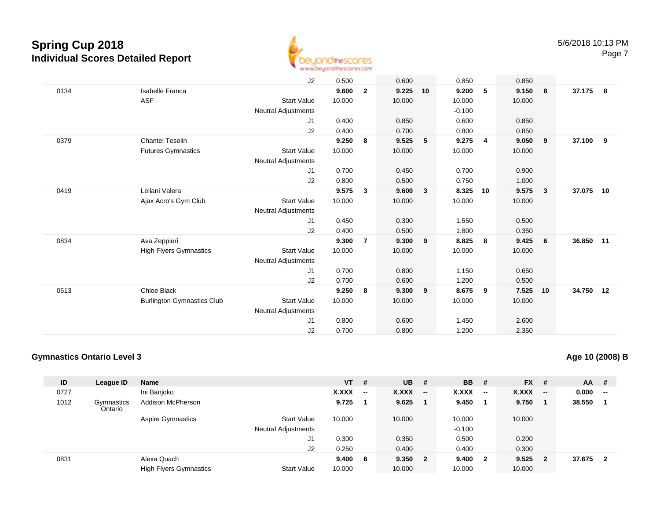

|      |                                   | J2                         | 0.500  |                | 0.600  |    | 0.850    |    | 0.850  |                         |           |   |
|------|-----------------------------------|----------------------------|--------|----------------|--------|----|----------|----|--------|-------------------------|-----------|---|
| 0134 | <b>Isabelle Franca</b>            |                            | 9.600  | $\mathbf{2}$   | 9.225  | 10 | 9.200    | 5  | 9.150  | 8                       | 37.175    | 8 |
|      | <b>ASF</b>                        | <b>Start Value</b>         | 10.000 |                | 10.000 |    | 10.000   |    | 10.000 |                         |           |   |
|      |                                   | <b>Neutral Adjustments</b> |        |                |        |    | $-0.100$ |    |        |                         |           |   |
|      |                                   | J1                         | 0.400  |                | 0.850  |    | 0.600    |    | 0.850  |                         |           |   |
|      |                                   | J2                         | 0.400  |                | 0.700  |    | 0.800    |    | 0.850  |                         |           |   |
| 0379 | <b>Chantel Tesolin</b>            |                            | 9.250  | 8              | 9.525  | 5  | 9.275    | 4  | 9.050  | 9                       | 37.100    | 9 |
|      | <b>Futures Gymnastics</b>         | <b>Start Value</b>         | 10.000 |                | 10.000 |    | 10.000   |    | 10.000 |                         |           |   |
|      |                                   | Neutral Adjustments        |        |                |        |    |          |    |        |                         |           |   |
|      |                                   | J <sub>1</sub>             | 0.700  |                | 0.450  |    | 0.700    |    | 0.900  |                         |           |   |
|      |                                   | J2                         | 0.800  |                | 0.500  |    | 0.750    |    | 1.000  |                         |           |   |
| 0419 | Leilani Valera                    |                            | 9.575  | 3              | 9.600  | 3  | 8.325    | 10 | 9.575  | $\overline{\mathbf{3}}$ | 37.075 10 |   |
|      | Ajax Acro's Gym Club              | <b>Start Value</b>         | 10.000 |                | 10.000 |    | 10.000   |    | 10.000 |                         |           |   |
|      |                                   | Neutral Adjustments        |        |                |        |    |          |    |        |                         |           |   |
|      |                                   | J1                         | 0.450  |                | 0.300  |    | 1.550    |    | 0.500  |                         |           |   |
|      |                                   | J2                         | 0.400  |                | 0.500  |    | 1.800    |    | 0.350  |                         |           |   |
| 0834 | Ava Zeppieri                      |                            | 9.300  | $\overline{7}$ | 9.300  | 9  | 8.825    | 8  | 9.425  | 6                       | 36.850 11 |   |
|      | <b>High Flyers Gymnastics</b>     | <b>Start Value</b>         | 10.000 |                | 10.000 |    | 10.000   |    | 10.000 |                         |           |   |
|      |                                   | Neutral Adjustments        |        |                |        |    |          |    |        |                         |           |   |
|      |                                   | J <sub>1</sub>             | 0.700  |                | 0.800  |    | 1.150    |    | 0.650  |                         |           |   |
|      |                                   | J2                         | 0.700  |                | 0.600  |    | 1.200    |    | 0.500  |                         |           |   |
| 0513 | Chloe Black                       |                            | 9.250  | 8              | 9.300  | 9  | 8.675    | 9  | 7.525  | 10                      | 34.750 12 |   |
|      | <b>Burlington Gymnastics Club</b> | <b>Start Value</b>         | 10.000 |                | 10.000 |    | 10.000   |    | 10.000 |                         |           |   |
|      |                                   | <b>Neutral Adjustments</b> |        |                |        |    |          |    |        |                         |           |   |
|      |                                   | J <sub>1</sub>             | 0.800  |                | 0.600  |    | 1.450    |    | 2.600  |                         |           |   |
|      |                                   | J2                         | 0.700  |                | 0.800  |    | 1.200    |    | 2.350  |                         |           |   |

### **Gymnastics Ontario Level 3**

**Age 10 (2008) B**

| ID   | League ID             | <b>Name</b>                   |                            | $VT$ # |     | <b>UB</b> | - #                      | <b>BB</b> | -#                       | <b>FX</b> | #                        | $AA$ # |                          |
|------|-----------------------|-------------------------------|----------------------------|--------|-----|-----------|--------------------------|-----------|--------------------------|-----------|--------------------------|--------|--------------------------|
| 0727 |                       | Ini Banjoko                   |                            | X.XXX  | --  | X.XXX     | $\overline{\phantom{a}}$ | X.XXX     | $\overline{\phantom{a}}$ | X.XXX     | $\overline{\phantom{a}}$ | 0.000  | $\overline{\phantom{a}}$ |
| 1012 | Gymnastics<br>Ontario | Addison McPherson             |                            | 9.725  |     | 9.625     |                          | 9.450     |                          | 9.750     |                          | 38.550 |                          |
|      |                       | <b>Aspire Gymnastics</b>      | <b>Start Value</b>         | 10.000 |     | 10.000    |                          | 10.000    |                          | 10.000    |                          |        |                          |
|      |                       |                               | <b>Neutral Adjustments</b> |        |     |           |                          | $-0.100$  |                          |           |                          |        |                          |
|      |                       |                               | J1                         | 0.300  |     | 0.350     |                          | 0.500     |                          | 0.200     |                          |        |                          |
|      |                       |                               | J2                         | 0.250  |     | 0.400     |                          | 0.400     |                          | 0.300     |                          |        |                          |
| 0831 |                       | Alexa Quach                   |                            | 9.400  | - 6 | 9.350     | $\overline{\mathbf{2}}$  | 9.400     | $\overline{\mathbf{2}}$  | 9.525     | $\overline{2}$           | 37.675 | 2                        |
|      |                       | <b>High Flyers Gymnastics</b> | <b>Start Value</b>         | 10.000 |     | 10.000    |                          | 10.000    |                          | 10.000    |                          |        |                          |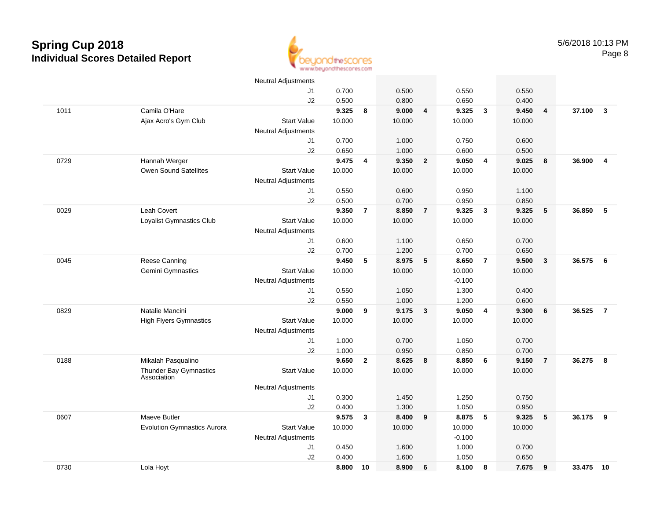

|      |                                       | <b>Neutral Adjustments</b> |        |                |        |                |          |                         |        |                         |        |                         |
|------|---------------------------------------|----------------------------|--------|----------------|--------|----------------|----------|-------------------------|--------|-------------------------|--------|-------------------------|
|      |                                       | J1                         | 0.700  |                | 0.500  |                | 0.550    |                         | 0.550  |                         |        |                         |
|      |                                       | J2                         | 0.500  |                | 0.800  |                | 0.650    |                         | 0.400  |                         |        |                         |
| 1011 | Camila O'Hare                         |                            | 9.325  | 8              | 9.000  | 4              | 9.325    | $\overline{\mathbf{3}}$ | 9.450  | $\overline{\mathbf{4}}$ | 37.100 | $\mathbf{3}$            |
|      | Ajax Acro's Gym Club                  | <b>Start Value</b>         | 10.000 |                | 10.000 |                | 10.000   |                         | 10.000 |                         |        |                         |
|      |                                       | <b>Neutral Adjustments</b> |        |                |        |                |          |                         |        |                         |        |                         |
|      |                                       | J1                         | 0.700  |                | 1.000  |                | 0.750    |                         | 0.600  |                         |        |                         |
|      |                                       | J2                         | 0.650  |                | 1.000  |                | 0.600    |                         | 0.500  |                         |        |                         |
| 0729 | Hannah Werger                         |                            | 9.475  | 4              | 9.350  | $\overline{2}$ | 9.050    | $\overline{4}$          | 9.025  | 8                       | 36.900 | $\overline{\mathbf{4}}$ |
|      | <b>Owen Sound Satellites</b>          | <b>Start Value</b>         | 10.000 |                | 10.000 |                | 10.000   |                         | 10.000 |                         |        |                         |
|      |                                       | <b>Neutral Adjustments</b> |        |                |        |                |          |                         |        |                         |        |                         |
|      |                                       | J1                         | 0.550  |                | 0.600  |                | 0.950    |                         | 1.100  |                         |        |                         |
|      |                                       | J2                         | 0.500  |                | 0.700  |                | 0.950    |                         | 0.850  |                         |        |                         |
| 0029 | Leah Covert                           |                            | 9.350  | $\overline{7}$ | 8.850  | $\overline{7}$ | 9.325    | $\mathbf{3}$            | 9.325  | 5                       | 36.850 | 5                       |
|      | Loyalist Gymnastics Club              | <b>Start Value</b>         | 10.000 |                | 10.000 |                | 10.000   |                         | 10.000 |                         |        |                         |
|      |                                       | <b>Neutral Adjustments</b> |        |                |        |                |          |                         |        |                         |        |                         |
|      |                                       | J1                         | 0.600  |                | 1.100  |                | 0.650    |                         | 0.700  |                         |        |                         |
|      |                                       | J2                         | 0.700  |                | 1.200  |                | 0.700    |                         | 0.650  |                         |        |                         |
| 0045 | Reese Canning                         |                            | 9.450  | 5              | 8.975  | 5              | 8.650    | $\overline{7}$          | 9.500  | $\overline{\mathbf{3}}$ | 36.575 | 6                       |
|      | <b>Gemini Gymnastics</b>              | <b>Start Value</b>         | 10.000 |                | 10.000 |                | 10.000   |                         | 10.000 |                         |        |                         |
|      |                                       | <b>Neutral Adjustments</b> |        |                |        |                | $-0.100$ |                         |        |                         |        |                         |
|      |                                       | J1                         | 0.550  |                | 1.050  |                | 1.300    |                         | 0.400  |                         |        |                         |
|      |                                       | J2                         | 0.550  |                | 1.000  |                | 1.200    |                         | 0.600  |                         |        |                         |
| 0829 | Natalie Mancini                       |                            | 9.000  | 9              | 9.175  | $\mathbf{3}$   | 9.050    | $\overline{4}$          | 9.300  | 6                       | 36.525 | $\overline{7}$          |
|      | <b>High Flyers Gymnastics</b>         | <b>Start Value</b>         | 10.000 |                | 10.000 |                | 10.000   |                         | 10.000 |                         |        |                         |
|      |                                       | <b>Neutral Adjustments</b> |        |                |        |                |          |                         |        |                         |        |                         |
|      |                                       | J1                         | 1.000  |                | 0.700  |                | 1.050    |                         | 0.700  |                         |        |                         |
|      |                                       | J2                         | 1.000  |                | 0.950  |                | 0.850    |                         | 0.700  |                         |        |                         |
| 0188 | Mikalah Pasqualino                    |                            | 9.650  | $\mathbf{2}$   | 8.625  | 8              | 8.850    | 6                       | 9.150  | $\overline{7}$          | 36.275 | 8                       |
|      | Thunder Bay Gymnastics<br>Association | <b>Start Value</b>         | 10.000 |                | 10.000 |                | 10.000   |                         | 10.000 |                         |        |                         |
|      |                                       | Neutral Adjustments        |        |                |        |                |          |                         |        |                         |        |                         |
|      |                                       | J1                         | 0.300  |                | 1.450  |                | 1.250    |                         | 0.750  |                         |        |                         |
|      |                                       | J2                         | 0.400  |                | 1.300  |                | 1.050    |                         | 0.950  |                         |        |                         |
| 0607 | Maeve Butler                          |                            | 9.575  | $\mathbf{3}$   | 8.400  | 9              | 8.875    | -5                      | 9.325  | 5                       | 36.175 | 9                       |
|      | <b>Evolution Gymnastics Aurora</b>    | <b>Start Value</b>         | 10.000 |                | 10.000 |                | 10.000   |                         | 10.000 |                         |        |                         |
|      |                                       | <b>Neutral Adjustments</b> |        |                |        |                | $-0.100$ |                         |        |                         |        |                         |
|      |                                       | J1                         | 0.450  |                | 1.600  |                | 1.000    |                         | 0.700  |                         |        |                         |
|      |                                       | J2                         | 0.400  |                | 1.600  |                | 1.050    |                         | 0.650  |                         |        |                         |
| 0730 | Lola Hoyt                             |                            | 8.800  | 10             | 8.900  | 6              | 8.100    | 8                       | 7.675  | 9                       | 33.475 | 10                      |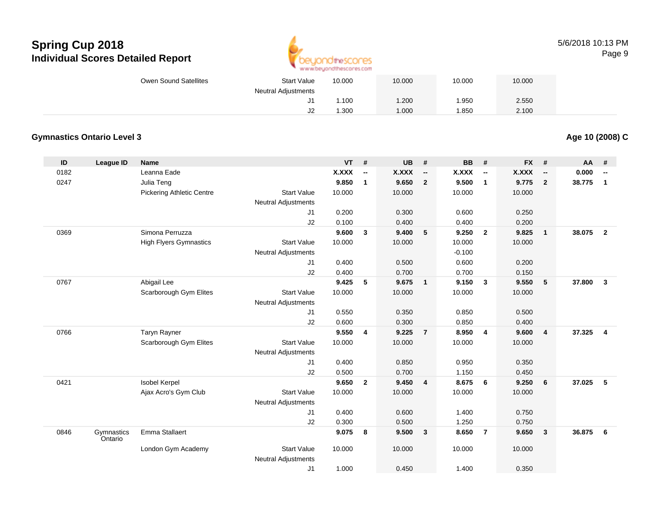

#### 5/6/2018 10:13 PMPage 9

| Owen Sound Satellites | <b>Start Value</b>   | 10.000 | 10.000 | 10.000 | 10.000 |  |
|-----------------------|----------------------|--------|--------|--------|--------|--|
|                       | Neutral Adjustments  |        |        |        |        |  |
|                       |                      | 1.100  | .200   | 1.950  | 2.550  |  |
|                       | $\overline{ }$<br>ےں | .300   | .000   | .850   | 2.100  |  |

### **Gymnastics Ontario Level 3**

**Age 10 (2008) C**

| $\mathsf{ID}$ | <b>League ID</b>      | <b>Name</b>                      |                                                  | <b>VT</b>    | #                        | UB     | #                        | <b>BB</b>    | #                        | <b>FX</b>    | #                        | AA     | #                        |
|---------------|-----------------------|----------------------------------|--------------------------------------------------|--------------|--------------------------|--------|--------------------------|--------------|--------------------------|--------------|--------------------------|--------|--------------------------|
| 0182          |                       | Leanna Eade                      |                                                  | <b>X.XXX</b> | $\overline{\phantom{a}}$ | X.XXX  | $\overline{\phantom{a}}$ | <b>X.XXX</b> | $\overline{\phantom{a}}$ | <b>X.XXX</b> | $\overline{\phantom{a}}$ | 0.000  | $\overline{\phantom{a}}$ |
| 0247          |                       | Julia Teng                       |                                                  | 9.850        | $\mathbf{1}$             | 9.650  | $\overline{2}$           | 9.500        | $\mathbf{1}$             | 9.775        | $\overline{2}$           | 38.775 | $\mathbf{1}$             |
|               |                       | <b>Pickering Athletic Centre</b> | <b>Start Value</b>                               | 10.000       |                          | 10.000 |                          | 10.000       |                          | 10.000       |                          |        |                          |
|               |                       |                                  | <b>Neutral Adjustments</b>                       |              |                          |        |                          |              |                          |              |                          |        |                          |
|               |                       |                                  | J1                                               | 0.200        |                          | 0.300  |                          | 0.600        |                          | 0.250        |                          |        |                          |
|               |                       |                                  | J2                                               | 0.100        |                          | 0.400  |                          | 0.400        |                          | 0.200        |                          |        |                          |
| 0369          |                       | Simona Perruzza                  |                                                  | 9.600        | 3                        | 9.400  | 5                        | 9.250        | $\overline{2}$           | 9.825        | $\overline{1}$           | 38.075 | $\overline{2}$           |
|               |                       | <b>High Flyers Gymnastics</b>    | <b>Start Value</b>                               | 10.000       |                          | 10.000 |                          | 10.000       |                          | 10.000       |                          |        |                          |
|               |                       |                                  | <b>Neutral Adjustments</b>                       |              |                          |        |                          | $-0.100$     |                          |              |                          |        |                          |
|               |                       |                                  | J1                                               | 0.400        |                          | 0.500  |                          | 0.600        |                          | 0.200        |                          |        |                          |
|               |                       |                                  | J2                                               | 0.400        |                          | 0.700  |                          | 0.700        |                          | 0.150        |                          |        |                          |
| 0767          |                       | Abigail Lee                      |                                                  | 9.425        | 5                        | 9.675  | $\overline{1}$           | 9.150        | $\overline{\mathbf{3}}$  | 9.550        | 5                        | 37,800 | 3                        |
|               |                       | Scarborough Gym Elites           | <b>Start Value</b>                               | 10.000       |                          | 10.000 |                          | 10.000       |                          | 10.000       |                          |        |                          |
|               |                       |                                  | <b>Neutral Adjustments</b>                       |              |                          |        |                          |              |                          |              |                          |        |                          |
|               |                       |                                  | J1                                               | 0.550        |                          | 0.350  |                          | 0.850        |                          | 0.500        |                          |        |                          |
|               |                       |                                  | J2                                               | 0.600        |                          | 0.300  |                          | 0.850        |                          | 0.400        |                          |        |                          |
| 0766          |                       | Taryn Rayner                     |                                                  | 9.550        | 4                        | 9.225  | $\overline{7}$           | 8.950        | $\overline{4}$           | 9.600        | $\overline{4}$           | 37.325 | $\overline{4}$           |
|               |                       | Scarborough Gym Elites           | <b>Start Value</b>                               | 10.000       |                          | 10.000 |                          | 10.000       |                          | 10.000       |                          |        |                          |
|               |                       |                                  | <b>Neutral Adjustments</b>                       |              |                          |        |                          |              |                          |              |                          |        |                          |
|               |                       |                                  | J1                                               | 0.400        |                          | 0.850  |                          | 0.950        |                          | 0.350        |                          |        |                          |
|               |                       |                                  | J2                                               | 0.500        |                          | 0.700  |                          | 1.150        |                          | 0.450        |                          |        |                          |
| 0421          |                       | <b>Isobel Kerpel</b>             |                                                  | 9.650        | $\mathbf{2}$             | 9.450  | 4                        | 8.675        | - 6                      | 9.250        | 6                        | 37.025 | -5                       |
|               |                       | Ajax Acro's Gym Club             | <b>Start Value</b>                               | 10.000       |                          | 10.000 |                          | 10.000       |                          | 10.000       |                          |        |                          |
|               |                       |                                  | <b>Neutral Adjustments</b>                       |              |                          |        |                          |              |                          |              |                          |        |                          |
|               |                       |                                  | J1                                               | 0.400        |                          | 0.600  |                          | 1.400        |                          | 0.750        |                          |        |                          |
|               |                       |                                  | J2                                               | 0.300        |                          | 0.500  |                          | 1.250        |                          | 0.750        |                          |        |                          |
| 0846          | Gymnastics<br>Ontario | Emma Stallaert                   |                                                  | 9.075        | 8                        | 9.500  | $\mathbf{3}$             | 8.650        | $\overline{7}$           | 9.650        | $\overline{\mathbf{3}}$  | 36.875 | 6                        |
|               |                       | London Gym Academy               | <b>Start Value</b><br><b>Neutral Adjustments</b> | 10.000       |                          | 10.000 |                          | 10.000       |                          | 10.000       |                          |        |                          |
|               |                       |                                  | J <sub>1</sub>                                   | 1.000        |                          | 0.450  |                          | 1.400        |                          | 0.350        |                          |        |                          |
|               |                       |                                  |                                                  |              |                          |        |                          |              |                          |              |                          |        |                          |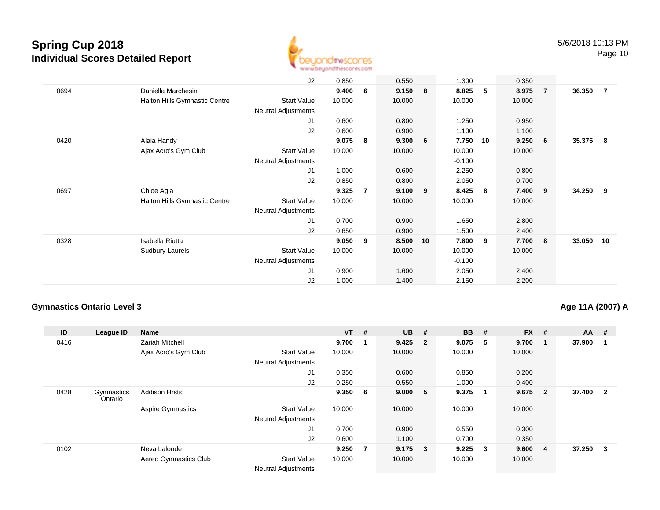

|      |                                      | J2                         | 0.850  |                | 0.550  |                         | 1.300    |             | 0.350  |                |        |     |
|------|--------------------------------------|----------------------------|--------|----------------|--------|-------------------------|----------|-------------|--------|----------------|--------|-----|
| 0694 | Daniella Marchesin                   |                            | 9.400  | 6              | 9.150  | $\overline{\mathbf{8}}$ | 8.825    | $5^{\circ}$ | 8.975  | $\overline{7}$ | 36.350 | - 7 |
|      | <b>Halton Hills Gymnastic Centre</b> | Start Value                | 10.000 |                | 10.000 |                         | 10.000   |             | 10.000 |                |        |     |
|      |                                      | Neutral Adjustments        |        |                |        |                         |          |             |        |                |        |     |
|      |                                      | J1                         | 0.600  |                | 0.800  |                         | 1.250    |             | 0.950  |                |        |     |
|      |                                      | J2                         | 0.600  |                | 0.900  |                         | 1.100    |             | 1.100  |                |        |     |
| 0420 | Alaia Handy                          |                            | 9.075  | 8              | 9.300  | -6                      | 7.750    | - 10        | 9.250  | - 6            | 35.375 | -8  |
|      | Ajax Acro's Gym Club                 | Start Value                | 10.000 |                | 10.000 |                         | 10.000   |             | 10.000 |                |        |     |
|      |                                      | <b>Neutral Adjustments</b> |        |                |        |                         | $-0.100$ |             |        |                |        |     |
|      |                                      | J1                         | 1.000  |                | 0.600  |                         | 2.250    |             | 0.800  |                |        |     |
|      |                                      | J2                         | 0.850  |                | 0.800  |                         | 2.050    |             | 0.700  |                |        |     |
| 0697 | Chloe Agla                           |                            | 9.325  | $\overline{7}$ | 9.100  | 9                       | 8.425    | 8           | 7.400  | 9              | 34.250 | - 9 |
|      | Halton Hills Gymnastic Centre        | Start Value                | 10.000 |                | 10.000 |                         | 10.000   |             | 10.000 |                |        |     |
|      |                                      | <b>Neutral Adjustments</b> |        |                |        |                         |          |             |        |                |        |     |
|      |                                      | J1                         | 0.700  |                | 0.900  |                         | 1.650    |             | 2.800  |                |        |     |
|      |                                      | J2                         | 0.650  |                | 0.900  |                         | 1.500    |             | 2.400  |                |        |     |
| 0328 | Isabella Riutta                      |                            | 9.050  | 9              | 8.500  | 10                      | 7.800    | 9           | 7.700  | - 8            | 33.050 | 10  |
|      | Sudbury Laurels                      | Start Value                | 10.000 |                | 10.000 |                         | 10.000   |             | 10.000 |                |        |     |
|      |                                      | <b>Neutral Adjustments</b> |        |                |        |                         | $-0.100$ |             |        |                |        |     |
|      |                                      | J1                         | 0.900  |                | 1.600  |                         | 2.050    |             | 2.400  |                |        |     |
|      |                                      | J2                         | 1.000  |                | 1.400  |                         | 2.150    |             | 2.200  |                |        |     |

### **Gymnastics Ontario Level 3**

#### **Age 11A (2007) A**

| ID   | League ID             | <b>Name</b>              |                                           | $VT$ # |                | <b>UB</b>   | # | <b>BB</b> | #                       | <b>FX</b> | #              | $AA$ # |                |
|------|-----------------------|--------------------------|-------------------------------------------|--------|----------------|-------------|---|-----------|-------------------------|-----------|----------------|--------|----------------|
| 0416 |                       | Zariah Mitchell          |                                           | 9.700  |                | $9.425$ 2   |   | 9.075     | -5                      | 9.700     |                | 37.900 |                |
|      |                       | Ajax Acro's Gym Club     | <b>Start Value</b>                        | 10.000 |                | 10.000      |   | 10.000    |                         | 10.000    |                |        |                |
|      |                       |                          | <b>Neutral Adjustments</b>                |        |                |             |   |           |                         |           |                |        |                |
|      |                       |                          | J1                                        | 0.350  |                | 0.600       |   | 0.850     |                         | 0.200     |                |        |                |
|      |                       |                          | J2                                        | 0.250  |                | 0.550       |   | 1.000     |                         | 0.400     |                |        |                |
| 0428 | Gymnastics<br>Ontario | <b>Addison Hrstic</b>    |                                           | 9.3506 |                | 9.000 5     |   | 9.375     | - 1                     | 9.675     | $\overline{2}$ | 37.400 | $\overline{2}$ |
|      |                       | <b>Aspire Gymnastics</b> | <b>Start Value</b>                        | 10.000 |                | 10.000      |   | 10.000    |                         | 10.000    |                |        |                |
|      |                       |                          | <b>Neutral Adjustments</b>                |        |                |             |   |           |                         |           |                |        |                |
|      |                       |                          | J1                                        | 0.700  |                | 0.900       |   | 0.550     |                         | 0.300     |                |        |                |
|      |                       |                          | J2                                        | 0.600  |                | 1.100       |   | 0.700     |                         | 0.350     |                |        |                |
| 0102 |                       | Neva Lalonde             |                                           | 9.250  | $\overline{7}$ | $9.175 \t3$ |   | 9.225     | $\overline{\mathbf{3}}$ | 9.600     | $\overline{4}$ | 37.250 | 3              |
|      |                       | Aereo Gymnastics Club    | <b>Start Value</b><br>Noutral Adjustmants | 10.000 |                | 10.000      |   | 10.000    |                         | 10.000    |                |        |                |

Neutral Adjustments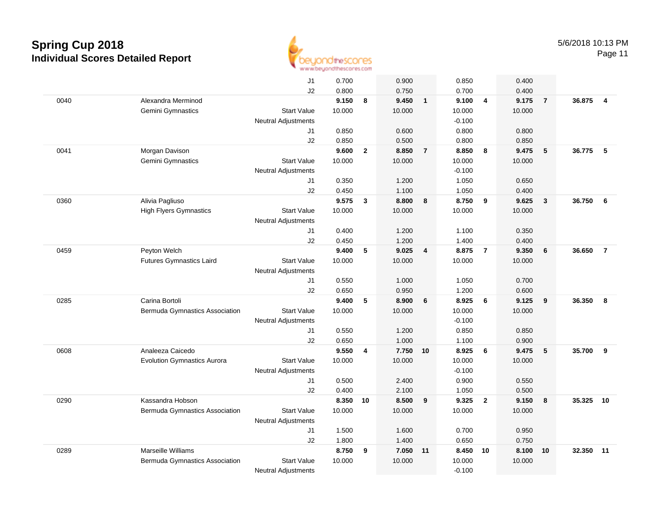

Page 11

|      |                                       | J1                               | 0.700           |                | 0.900           |                | 0.850           |                | 0.400           |                         |        |                |
|------|---------------------------------------|----------------------------------|-----------------|----------------|-----------------|----------------|-----------------|----------------|-----------------|-------------------------|--------|----------------|
|      |                                       | J2                               | 0.800           |                | 0.750           |                | 0.700           |                | 0.400           |                         |        |                |
| 0040 | Alexandra Merminod                    |                                  | 9.150           | 8              | 9.450           | $\overline{1}$ | 9.100           | $\overline{4}$ | 9.175           | $\overline{7}$          | 36.875 | $\overline{4}$ |
|      | Gemini Gymnastics                     | <b>Start Value</b>               | 10.000          |                | 10.000          |                | 10.000          |                | 10.000          |                         |        |                |
|      |                                       | <b>Neutral Adjustments</b>       |                 |                |                 |                | $-0.100$        |                |                 |                         |        |                |
|      |                                       | J1                               | 0.850           |                | 0.600           |                | 0.800           |                | 0.800           |                         |        |                |
|      |                                       | J2                               | 0.850           |                | 0.500           |                | 0.800           |                | 0.850           |                         |        |                |
| 0041 | Morgan Davison                        |                                  | 9.600           | $\overline{2}$ | 8.850           | $\overline{7}$ | 8.850           | 8              | 9.475           | 5                       | 36.775 | - 5            |
|      | Gemini Gymnastics                     | <b>Start Value</b>               | 10.000          |                | 10.000          |                | 10.000          |                | 10.000          |                         |        |                |
|      |                                       | Neutral Adjustments              |                 |                |                 |                | $-0.100$        |                |                 |                         |        |                |
|      |                                       | J1                               | 0.350           |                | 1.200           |                | 1.050           |                | 0.650           |                         |        |                |
|      |                                       | J2                               | 0.450           |                | 1.100           |                | 1.050           |                | 0.400           |                         |        |                |
| 0360 | Alivia Pagliuso                       |                                  | 9.575           | $\mathbf{3}$   | 8.800           | 8              | 8.750           | 9              | 9.625           | $\mathbf{3}$            | 36.750 | 6              |
|      | <b>High Flyers Gymnastics</b>         | <b>Start Value</b>               | 10.000          |                | 10.000          |                | 10.000          |                | 10.000          |                         |        |                |
|      |                                       | <b>Neutral Adjustments</b>       |                 |                |                 |                |                 |                |                 |                         |        |                |
|      |                                       | J1                               | 0.400           |                | 1.200           |                | 1.100           |                | 0.350           |                         |        |                |
|      |                                       | J2                               | 0.450           |                | 1.200           |                | 1.400           |                | 0.400           |                         |        |                |
| 0459 | Peyton Welch                          |                                  | 9.400           | 5              | 9.025           | $\overline{4}$ | 8.875           | $\overline{7}$ | 9.350           | 6                       | 36.650 | $\overline{7}$ |
|      | <b>Futures Gymnastics Laird</b>       | <b>Start Value</b>               | 10.000          |                | 10.000          |                | 10.000          |                | 10.000          |                         |        |                |
|      |                                       | <b>Neutral Adjustments</b>       |                 |                |                 |                |                 |                |                 |                         |        |                |
|      |                                       | J1                               | 0.550           |                | 1.000           |                | 1.050           |                | 0.700           |                         |        |                |
|      |                                       | J2                               | 0.650           |                | 0.950           |                | 1.200           |                | 0.600           |                         |        |                |
| 0285 | Carina Bortoli                        |                                  | 9.400           | 5              | 8.900           | 6              | 8.925           | 6              | 9.125           | 9                       | 36.350 | 8              |
|      | Bermuda Gymnastics Association        | <b>Start Value</b>               | 10.000          |                | 10.000          |                | 10.000          |                | 10.000          |                         |        |                |
|      |                                       | <b>Neutral Adjustments</b>       |                 |                |                 |                | $-0.100$        |                |                 |                         |        |                |
|      |                                       | J1                               | 0.550           |                | 1.200           |                | 0.850           |                | 0.850           |                         |        |                |
|      |                                       | J2                               | 0.650           |                | 1.000           |                | 1.100           |                | 0.900           |                         |        |                |
| 0608 | Analeeza Caicedo                      | <b>Start Value</b>               | 9.550<br>10.000 | 4              | 7.750<br>10.000 | 10             | 8.925<br>10.000 | 6              | 9.475<br>10.000 | 5                       | 35.700 | 9              |
|      | <b>Evolution Gymnastics Aurora</b>    |                                  |                 |                |                 |                | $-0.100$        |                |                 |                         |        |                |
|      |                                       | <b>Neutral Adjustments</b><br>J1 | 0.500           |                | 2.400           |                | 0.900           |                | 0.550           |                         |        |                |
|      |                                       | J2                               | 0.400           |                | 2.100           |                | 1.050           |                | 0.500           |                         |        |                |
| 0290 | Kassandra Hobson                      |                                  | 8.350           | 10             | 8.500           | 9              | 9.325           | $\overline{2}$ | 9.150           | $\overline{\mathbf{8}}$ | 35.325 | 10             |
|      | <b>Bermuda Gymnastics Association</b> | <b>Start Value</b>               | 10.000          |                | 10.000          |                | 10.000          |                | 10.000          |                         |        |                |
|      |                                       | <b>Neutral Adjustments</b>       |                 |                |                 |                |                 |                |                 |                         |        |                |
|      |                                       | J1                               | 1.500           |                | 1.600           |                | 0.700           |                | 0.950           |                         |        |                |
|      |                                       | J2                               | 1.800           |                | 1.400           |                | 0.650           |                | 0.750           |                         |        |                |
| 0289 | Marseille Williams                    |                                  | 8.750           | 9              | 7.050           | 11             | 8.450           | 10             | 8.100           | 10                      | 32.350 | 11             |
|      | Bermuda Gymnastics Association        | <b>Start Value</b>               | 10.000          |                | 10.000          |                | 10.000          |                | 10.000          |                         |        |                |
|      |                                       | <b>Neutral Adjustments</b>       |                 |                |                 |                | $-0.100$        |                |                 |                         |        |                |
|      |                                       |                                  |                 |                |                 |                |                 |                |                 |                         |        |                |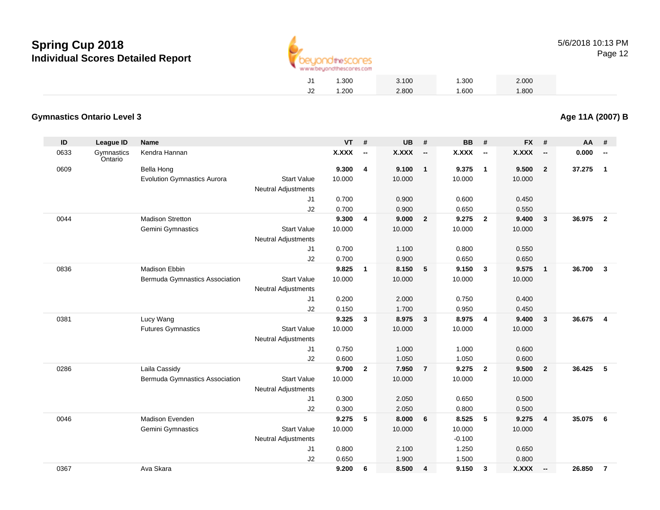

**Age 11A (2007) B**

|    | 1.300 | 3.100 | 1.300 | 2.000 |
|----|-------|-------|-------|-------|
| J2 | 1.200 | 2.800 | 1.600 | 1.800 |

#### **Gymnastics Ontario Level 3**

| ID   | <b>League ID</b>      | <b>Name</b>                        |                                                  | <b>VT</b>    | #                        | <b>UB</b>    | #                        | <b>BB</b> | #                        | <b>FX</b>    | #                        | AA     | #                        |
|------|-----------------------|------------------------------------|--------------------------------------------------|--------------|--------------------------|--------------|--------------------------|-----------|--------------------------|--------------|--------------------------|--------|--------------------------|
| 0633 | Gymnastics<br>Ontario | Kendra Hannan                      |                                                  | <b>X.XXX</b> | $\overline{\phantom{a}}$ | <b>X.XXX</b> | $\overline{\phantom{a}}$ | X.XXX     | $\overline{\phantom{a}}$ | <b>X.XXX</b> | $\overline{\phantom{a}}$ | 0.000  | $\overline{\phantom{a}}$ |
| 0609 |                       | Bella Hong                         |                                                  | 9.300        | 4                        | 9.100        | $\overline{1}$           | 9.375     | $\overline{1}$           | 9.500        | $\overline{2}$           | 37.275 | $\mathbf{1}$             |
|      |                       | <b>Evolution Gymnastics Aurora</b> | <b>Start Value</b><br><b>Neutral Adjustments</b> | 10.000       |                          | 10.000       |                          | 10.000    |                          | 10.000       |                          |        |                          |
|      |                       |                                    | J1                                               | 0.700        |                          | 0.900        |                          | 0.600     |                          | 0.450        |                          |        |                          |
|      |                       |                                    | J2                                               | 0.700        |                          | 0.900        |                          | 0.650     |                          | 0.550        |                          |        |                          |
| 0044 |                       | <b>Madison Stretton</b>            |                                                  | 9.300        | 4                        | 9.000        | $\overline{\mathbf{2}}$  | 9.275     | $\overline{2}$           | 9.400        | 3                        | 36.975 | $\overline{2}$           |
|      |                       | Gemini Gymnastics                  | <b>Start Value</b>                               | 10.000       |                          | 10.000       |                          | 10.000    |                          | 10.000       |                          |        |                          |
|      |                       |                                    | <b>Neutral Adjustments</b>                       |              |                          |              |                          |           |                          |              |                          |        |                          |
|      |                       |                                    | J1                                               | 0.700        |                          | 1.100        |                          | 0.800     |                          | 0.550        |                          |        |                          |
|      |                       |                                    | J2                                               | 0.700        |                          | 0.900        |                          | 0.650     |                          | 0.650        |                          |        |                          |
| 0836 |                       | <b>Madison Ebbin</b>               |                                                  | 9.825        | $\mathbf{1}$             | 8.150        | 5                        | 9.150     | $\mathbf{3}$             | 9.575        | $\mathbf{1}$             | 36.700 | $\mathbf{3}$             |
|      |                       | Bermuda Gymnastics Association     | <b>Start Value</b><br><b>Neutral Adjustments</b> | 10.000       |                          | 10.000       |                          | 10.000    |                          | 10.000       |                          |        |                          |
|      |                       |                                    | J1                                               | 0.200        |                          | 2.000        |                          | 0.750     |                          | 0.400        |                          |        |                          |
|      |                       |                                    | J2                                               | 0.150        |                          | 1.700        |                          | 0.950     |                          | 0.450        |                          |        |                          |
| 0381 |                       | Lucy Wang                          |                                                  | 9.325        | 3                        | 8.975        | $\overline{\mathbf{3}}$  | 8.975     | $\overline{4}$           | 9.400        | 3                        | 36.675 | $\overline{4}$           |
|      |                       | <b>Futures Gymnastics</b>          | <b>Start Value</b><br><b>Neutral Adjustments</b> | 10.000       |                          | 10.000       |                          | 10.000    |                          | 10.000       |                          |        |                          |
|      |                       |                                    | J <sub>1</sub>                                   | 0.750        |                          | 1.000        |                          | 1.000     |                          | 0.600        |                          |        |                          |
|      |                       |                                    | J2                                               | 0.600        |                          | 1.050        |                          | 1.050     |                          | 0.600        |                          |        |                          |
| 0286 |                       | Laila Cassidy                      |                                                  | 9.700        | $\overline{2}$           | 7.950        | $\overline{7}$           | 9.275     | $\overline{2}$           | 9.500        | $\mathbf{2}$             | 36.425 | 5                        |
|      |                       | Bermuda Gymnastics Association     | <b>Start Value</b><br>Neutral Adjustments        | 10.000       |                          | 10.000       |                          | 10.000    |                          | 10.000       |                          |        |                          |
|      |                       |                                    | J <sub>1</sub>                                   | 0.300        |                          | 2.050        |                          | 0.650     |                          | 0.500        |                          |        |                          |
|      |                       |                                    | J2                                               | 0.300        |                          | 2.050        |                          | 0.800     |                          | 0.500        |                          |        |                          |
| 0046 |                       | Madison Evenden                    |                                                  | 9.275        | 5                        | 8.000        | 6                        | 8.525     | 5                        | 9.275        | $\overline{4}$           | 35.075 | 6                        |
|      |                       | Gemini Gymnastics                  | <b>Start Value</b>                               | 10.000       |                          | 10.000       |                          | 10.000    |                          | 10.000       |                          |        |                          |
|      |                       |                                    | <b>Neutral Adjustments</b>                       |              |                          |              |                          | $-0.100$  |                          |              |                          |        |                          |
|      |                       |                                    | J1                                               | 0.800        |                          | 2.100        |                          | 1.250     |                          | 0.650        |                          |        |                          |
|      |                       |                                    | J2                                               | 0.650        |                          | 1.900        |                          | 1.500     |                          | 0.800        |                          |        |                          |
| 0367 |                       | Ava Skara                          |                                                  | 9.200        | 6                        | 8.500        | $\overline{a}$           | 9.150     | 3                        | X.XXX        | $\overline{\phantom{a}}$ | 26.850 | $\overline{7}$           |
|      |                       |                                    |                                                  |              |                          |              |                          |           |                          |              |                          |        |                          |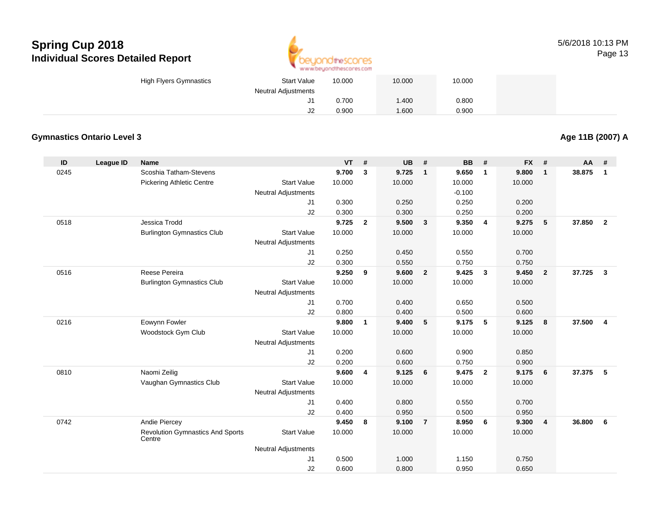

| High Flyers Gymnastics | <b>Start Value</b>         | 10.000 | 10.000 | 10.000 |  |
|------------------------|----------------------------|--------|--------|--------|--|
|                        | <b>Neutral Adjustments</b> |        |        |        |  |
|                        | J1                         | 0.700  | 1.400  | 0.800  |  |
|                        | J2                         | 0.900  | 1.600  | 0.900  |  |

### **Gymnastics Ontario Level 3**

**Age 11B (2007) A**

| ID   | <b>League ID</b> | <b>Name</b>                                       |                            | <b>VT</b> | #              | <b>UB</b> | #              | <b>BB</b> | #                       | <b>FX</b> | #              | AA     | #              |
|------|------------------|---------------------------------------------------|----------------------------|-----------|----------------|-----------|----------------|-----------|-------------------------|-----------|----------------|--------|----------------|
| 0245 |                  | Scoshia Tatham-Stevens                            |                            | 9.700     | 3              | 9.725     | $\mathbf{1}$   | 9.650     | $\overline{\mathbf{1}}$ | 9.800     | $\mathbf{1}$   | 38.875 | $\mathbf{1}$   |
|      |                  | <b>Pickering Athletic Centre</b>                  | <b>Start Value</b>         | 10.000    |                | 10.000    |                | 10.000    |                         | 10.000    |                |        |                |
|      |                  |                                                   | <b>Neutral Adjustments</b> |           |                |           |                | $-0.100$  |                         |           |                |        |                |
|      |                  |                                                   | J1                         | 0.300     |                | 0.250     |                | 0.250     |                         | 0.200     |                |        |                |
|      |                  |                                                   | J2                         | 0.300     |                | 0.300     |                | 0.250     |                         | 0.200     |                |        |                |
| 0518 |                  | Jessica Trodd                                     |                            | 9.725     | $\overline{2}$ | 9.500     | $\mathbf{3}$   | 9.350     | $\overline{4}$          | 9.275     | 5              | 37.850 | $\overline{2}$ |
|      |                  | <b>Burlington Gymnastics Club</b>                 | <b>Start Value</b>         | 10.000    |                | 10.000    |                | 10.000    |                         | 10.000    |                |        |                |
|      |                  |                                                   | Neutral Adjustments        |           |                |           |                |           |                         |           |                |        |                |
|      |                  |                                                   | J1                         | 0.250     |                | 0.450     |                | 0.550     |                         | 0.700     |                |        |                |
|      |                  |                                                   | J2                         | 0.300     |                | 0.550     |                | 0.750     |                         | 0.750     |                |        |                |
| 0516 |                  | Reese Pereira                                     |                            | 9.250     | 9              | 9.600     | $\overline{2}$ | 9.425     | $\overline{\mathbf{3}}$ | 9.450     | $\overline{2}$ | 37.725 | $\mathbf{3}$   |
|      |                  | <b>Burlington Gymnastics Club</b>                 | <b>Start Value</b>         | 10.000    |                | 10.000    |                | 10.000    |                         | 10.000    |                |        |                |
|      |                  |                                                   | Neutral Adjustments        |           |                |           |                |           |                         |           |                |        |                |
|      |                  |                                                   | J <sub>1</sub>             | 0.700     |                | 0.400     |                | 0.650     |                         | 0.500     |                |        |                |
|      |                  |                                                   | J2                         | 0.800     |                | 0.400     |                | 0.500     |                         | 0.600     |                |        |                |
| 0216 |                  | Eowynn Fowler                                     |                            | 9.800     | $\mathbf{1}$   | 9.400     | 5              | 9.175     | 5                       | 9.125     | 8              | 37.500 | $\overline{4}$ |
|      |                  | Woodstock Gym Club                                | <b>Start Value</b>         | 10.000    |                | 10.000    |                | 10.000    |                         | 10.000    |                |        |                |
|      |                  |                                                   | Neutral Adjustments        |           |                |           |                |           |                         |           |                |        |                |
|      |                  |                                                   | J <sub>1</sub>             | 0.200     |                | 0.600     |                | 0.900     |                         | 0.850     |                |        |                |
|      |                  |                                                   | J2                         | 0.200     |                | 0.600     |                | 0.750     |                         | 0.900     |                |        |                |
| 0810 |                  | Naomi Zeilig                                      |                            | 9.600     | 4              | 9.125     | 6              | 9.475     | $\overline{\mathbf{2}}$ | 9.175     | 6              | 37.375 | 5              |
|      |                  | Vaughan Gymnastics Club                           | <b>Start Value</b>         | 10.000    |                | 10.000    |                | 10.000    |                         | 10.000    |                |        |                |
|      |                  |                                                   | <b>Neutral Adjustments</b> |           |                |           |                |           |                         |           |                |        |                |
|      |                  |                                                   | J1                         | 0.400     |                | 0.800     |                | 0.550     |                         | 0.700     |                |        |                |
|      |                  |                                                   | J2                         | 0.400     |                | 0.950     |                | 0.500     |                         | 0.950     |                |        |                |
| 0742 |                  | Andie Piercey                                     |                            | 9.450     | 8              | 9.100     | $\overline{7}$ | 8.950     | 6                       | 9.300     | $\overline{4}$ | 36.800 | 6              |
|      |                  | <b>Revolution Gymnastics And Sports</b><br>Centre | <b>Start Value</b>         | 10.000    |                | 10.000    |                | 10.000    |                         | 10.000    |                |        |                |
|      |                  |                                                   | <b>Neutral Adjustments</b> |           |                |           |                |           |                         |           |                |        |                |
|      |                  |                                                   | J1                         | 0.500     |                | 1.000     |                | 1.150     |                         | 0.750     |                |        |                |
|      |                  |                                                   | J2                         | 0.600     |                | 0.800     |                | 0.950     |                         | 0.650     |                |        |                |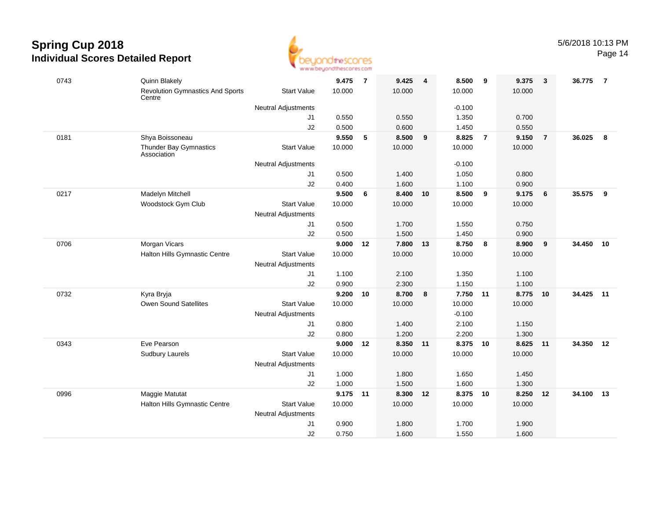

Page 14

| 10.000<br>10.000<br><b>Revolution Gymnastics And Sports</b><br><b>Start Value</b><br>10.000<br>10.000<br>Centre<br><b>Neutral Adjustments</b><br>$-0.100$<br>0.700<br>J <sub>1</sub><br>0.550<br>0.550<br>1.350<br>J2<br>0.500<br>0.600<br>1.450<br>0.550<br>9.550<br>5<br>8.500<br>8.825<br>$\overline{7}$<br>9.150<br>36.025<br>0181<br>Shya Boissoneau<br>9<br>$\overline{7}$<br>8<br>Thunder Bay Gymnastics<br><b>Start Value</b><br>10.000<br>10.000<br>10.000<br>10.000<br>Association<br><b>Neutral Adjustments</b><br>$-0.100$<br>0.500<br>1.400<br>1.050<br>0.800<br>J1<br>0.400<br>1.100<br>J2<br>1.600<br>0.900<br>35.575<br>Madelyn Mitchell<br>9.500<br>8.400<br>8.500<br>9<br>9.175<br>0217<br>6<br>10<br>6<br>9<br><b>Start Value</b><br>10.000<br>10.000<br>Woodstock Gym Club<br>10.000<br>10.000<br><b>Neutral Adjustments</b><br>0.500<br>J <sub>1</sub><br>1.700<br>1.550<br>0.750<br>0.500<br>1.500<br>1.450<br>J2<br>0.900<br>Morgan Vicars<br>9.000<br>7.800<br>8.750<br>8.900<br>34.450<br>10<br>0706<br>13<br>8<br>9<br>$12 \,$<br><b>Start Value</b><br>Halton Hills Gymnastic Centre<br>10.000<br>10.000<br>10.000<br>10.000<br><b>Neutral Adjustments</b><br>J <sub>1</sub><br>1.100<br>2.100<br>1.350<br>1.100<br>J2<br>0.900<br>2.300<br>1.150<br>1.100<br>0732<br>9.200<br>8.700<br>7.750<br>8.775<br>34.425 11<br>Kyra Bryja<br>10<br>8<br>$-11$<br>10<br><b>Start Value</b><br>Owen Sound Satellites<br>10.000<br>10.000<br>10.000<br>10.000<br><b>Neutral Adjustments</b><br>$-0.100$<br>0.800<br>1.400<br>2.100<br>1.150<br>J1<br>J2<br>0.800<br>1.200<br>2.200<br>1.300<br>0343<br>Eve Pearson<br>9.000<br>12<br>8.350 11<br>8.375<br>10<br>8.625<br>34.350 12<br>11<br><b>Start Value</b><br>10.000<br>10.000<br>10.000<br>10.000<br><b>Sudbury Laurels</b><br><b>Neutral Adjustments</b><br>1.000<br>1.800<br>1.650<br>1.450<br>J1<br>J2<br>1.000<br>1.500<br>1.600<br>1.300<br>Maggie Matutat<br>9.175 11<br>8.250<br>34.100<br>0996<br>8.300 12<br>8.375<br>10<br>12<br>13<br>Halton Hills Gymnastic Centre<br><b>Start Value</b><br>10.000<br>10.000<br>10.000<br>10.000<br><b>Neutral Adjustments</b><br>0.900<br>1.800<br>1.700<br>1.900<br>J1<br>0.750<br>1.600<br>1.550<br>1.600<br>J2 | 0743 | Quinn Blakely | 9.475 | $\overline{7}$ | 9.425 | 4 | 8.500 | 9 | 9.375 | $\mathbf{3}$ | 36.775 | $\overline{7}$ |
|-------------------------------------------------------------------------------------------------------------------------------------------------------------------------------------------------------------------------------------------------------------------------------------------------------------------------------------------------------------------------------------------------------------------------------------------------------------------------------------------------------------------------------------------------------------------------------------------------------------------------------------------------------------------------------------------------------------------------------------------------------------------------------------------------------------------------------------------------------------------------------------------------------------------------------------------------------------------------------------------------------------------------------------------------------------------------------------------------------------------------------------------------------------------------------------------------------------------------------------------------------------------------------------------------------------------------------------------------------------------------------------------------------------------------------------------------------------------------------------------------------------------------------------------------------------------------------------------------------------------------------------------------------------------------------------------------------------------------------------------------------------------------------------------------------------------------------------------------------------------------------------------------------------------------------------------------------------------------------------------------------------------------------------------------------------------------------------------------------------------------------------------------------------------------------------------------------------------------------------|------|---------------|-------|----------------|-------|---|-------|---|-------|--------------|--------|----------------|
|                                                                                                                                                                                                                                                                                                                                                                                                                                                                                                                                                                                                                                                                                                                                                                                                                                                                                                                                                                                                                                                                                                                                                                                                                                                                                                                                                                                                                                                                                                                                                                                                                                                                                                                                                                                                                                                                                                                                                                                                                                                                                                                                                                                                                                     |      |               |       |                |       |   |       |   |       |              |        |                |
|                                                                                                                                                                                                                                                                                                                                                                                                                                                                                                                                                                                                                                                                                                                                                                                                                                                                                                                                                                                                                                                                                                                                                                                                                                                                                                                                                                                                                                                                                                                                                                                                                                                                                                                                                                                                                                                                                                                                                                                                                                                                                                                                                                                                                                     |      |               |       |                |       |   |       |   |       |              |        |                |
|                                                                                                                                                                                                                                                                                                                                                                                                                                                                                                                                                                                                                                                                                                                                                                                                                                                                                                                                                                                                                                                                                                                                                                                                                                                                                                                                                                                                                                                                                                                                                                                                                                                                                                                                                                                                                                                                                                                                                                                                                                                                                                                                                                                                                                     |      |               |       |                |       |   |       |   |       |              |        |                |
|                                                                                                                                                                                                                                                                                                                                                                                                                                                                                                                                                                                                                                                                                                                                                                                                                                                                                                                                                                                                                                                                                                                                                                                                                                                                                                                                                                                                                                                                                                                                                                                                                                                                                                                                                                                                                                                                                                                                                                                                                                                                                                                                                                                                                                     |      |               |       |                |       |   |       |   |       |              |        |                |
|                                                                                                                                                                                                                                                                                                                                                                                                                                                                                                                                                                                                                                                                                                                                                                                                                                                                                                                                                                                                                                                                                                                                                                                                                                                                                                                                                                                                                                                                                                                                                                                                                                                                                                                                                                                                                                                                                                                                                                                                                                                                                                                                                                                                                                     |      |               |       |                |       |   |       |   |       |              |        |                |
|                                                                                                                                                                                                                                                                                                                                                                                                                                                                                                                                                                                                                                                                                                                                                                                                                                                                                                                                                                                                                                                                                                                                                                                                                                                                                                                                                                                                                                                                                                                                                                                                                                                                                                                                                                                                                                                                                                                                                                                                                                                                                                                                                                                                                                     |      |               |       |                |       |   |       |   |       |              |        |                |
|                                                                                                                                                                                                                                                                                                                                                                                                                                                                                                                                                                                                                                                                                                                                                                                                                                                                                                                                                                                                                                                                                                                                                                                                                                                                                                                                                                                                                                                                                                                                                                                                                                                                                                                                                                                                                                                                                                                                                                                                                                                                                                                                                                                                                                     |      |               |       |                |       |   |       |   |       |              |        |                |
|                                                                                                                                                                                                                                                                                                                                                                                                                                                                                                                                                                                                                                                                                                                                                                                                                                                                                                                                                                                                                                                                                                                                                                                                                                                                                                                                                                                                                                                                                                                                                                                                                                                                                                                                                                                                                                                                                                                                                                                                                                                                                                                                                                                                                                     |      |               |       |                |       |   |       |   |       |              |        |                |
|                                                                                                                                                                                                                                                                                                                                                                                                                                                                                                                                                                                                                                                                                                                                                                                                                                                                                                                                                                                                                                                                                                                                                                                                                                                                                                                                                                                                                                                                                                                                                                                                                                                                                                                                                                                                                                                                                                                                                                                                                                                                                                                                                                                                                                     |      |               |       |                |       |   |       |   |       |              |        |                |
|                                                                                                                                                                                                                                                                                                                                                                                                                                                                                                                                                                                                                                                                                                                                                                                                                                                                                                                                                                                                                                                                                                                                                                                                                                                                                                                                                                                                                                                                                                                                                                                                                                                                                                                                                                                                                                                                                                                                                                                                                                                                                                                                                                                                                                     |      |               |       |                |       |   |       |   |       |              |        |                |
|                                                                                                                                                                                                                                                                                                                                                                                                                                                                                                                                                                                                                                                                                                                                                                                                                                                                                                                                                                                                                                                                                                                                                                                                                                                                                                                                                                                                                                                                                                                                                                                                                                                                                                                                                                                                                                                                                                                                                                                                                                                                                                                                                                                                                                     |      |               |       |                |       |   |       |   |       |              |        |                |
|                                                                                                                                                                                                                                                                                                                                                                                                                                                                                                                                                                                                                                                                                                                                                                                                                                                                                                                                                                                                                                                                                                                                                                                                                                                                                                                                                                                                                                                                                                                                                                                                                                                                                                                                                                                                                                                                                                                                                                                                                                                                                                                                                                                                                                     |      |               |       |                |       |   |       |   |       |              |        |                |
|                                                                                                                                                                                                                                                                                                                                                                                                                                                                                                                                                                                                                                                                                                                                                                                                                                                                                                                                                                                                                                                                                                                                                                                                                                                                                                                                                                                                                                                                                                                                                                                                                                                                                                                                                                                                                                                                                                                                                                                                                                                                                                                                                                                                                                     |      |               |       |                |       |   |       |   |       |              |        |                |
|                                                                                                                                                                                                                                                                                                                                                                                                                                                                                                                                                                                                                                                                                                                                                                                                                                                                                                                                                                                                                                                                                                                                                                                                                                                                                                                                                                                                                                                                                                                                                                                                                                                                                                                                                                                                                                                                                                                                                                                                                                                                                                                                                                                                                                     |      |               |       |                |       |   |       |   |       |              |        |                |
|                                                                                                                                                                                                                                                                                                                                                                                                                                                                                                                                                                                                                                                                                                                                                                                                                                                                                                                                                                                                                                                                                                                                                                                                                                                                                                                                                                                                                                                                                                                                                                                                                                                                                                                                                                                                                                                                                                                                                                                                                                                                                                                                                                                                                                     |      |               |       |                |       |   |       |   |       |              |        |                |
|                                                                                                                                                                                                                                                                                                                                                                                                                                                                                                                                                                                                                                                                                                                                                                                                                                                                                                                                                                                                                                                                                                                                                                                                                                                                                                                                                                                                                                                                                                                                                                                                                                                                                                                                                                                                                                                                                                                                                                                                                                                                                                                                                                                                                                     |      |               |       |                |       |   |       |   |       |              |        |                |
|                                                                                                                                                                                                                                                                                                                                                                                                                                                                                                                                                                                                                                                                                                                                                                                                                                                                                                                                                                                                                                                                                                                                                                                                                                                                                                                                                                                                                                                                                                                                                                                                                                                                                                                                                                                                                                                                                                                                                                                                                                                                                                                                                                                                                                     |      |               |       |                |       |   |       |   |       |              |        |                |
|                                                                                                                                                                                                                                                                                                                                                                                                                                                                                                                                                                                                                                                                                                                                                                                                                                                                                                                                                                                                                                                                                                                                                                                                                                                                                                                                                                                                                                                                                                                                                                                                                                                                                                                                                                                                                                                                                                                                                                                                                                                                                                                                                                                                                                     |      |               |       |                |       |   |       |   |       |              |        |                |
|                                                                                                                                                                                                                                                                                                                                                                                                                                                                                                                                                                                                                                                                                                                                                                                                                                                                                                                                                                                                                                                                                                                                                                                                                                                                                                                                                                                                                                                                                                                                                                                                                                                                                                                                                                                                                                                                                                                                                                                                                                                                                                                                                                                                                                     |      |               |       |                |       |   |       |   |       |              |        |                |
|                                                                                                                                                                                                                                                                                                                                                                                                                                                                                                                                                                                                                                                                                                                                                                                                                                                                                                                                                                                                                                                                                                                                                                                                                                                                                                                                                                                                                                                                                                                                                                                                                                                                                                                                                                                                                                                                                                                                                                                                                                                                                                                                                                                                                                     |      |               |       |                |       |   |       |   |       |              |        |                |
|                                                                                                                                                                                                                                                                                                                                                                                                                                                                                                                                                                                                                                                                                                                                                                                                                                                                                                                                                                                                                                                                                                                                                                                                                                                                                                                                                                                                                                                                                                                                                                                                                                                                                                                                                                                                                                                                                                                                                                                                                                                                                                                                                                                                                                     |      |               |       |                |       |   |       |   |       |              |        |                |
|                                                                                                                                                                                                                                                                                                                                                                                                                                                                                                                                                                                                                                                                                                                                                                                                                                                                                                                                                                                                                                                                                                                                                                                                                                                                                                                                                                                                                                                                                                                                                                                                                                                                                                                                                                                                                                                                                                                                                                                                                                                                                                                                                                                                                                     |      |               |       |                |       |   |       |   |       |              |        |                |
|                                                                                                                                                                                                                                                                                                                                                                                                                                                                                                                                                                                                                                                                                                                                                                                                                                                                                                                                                                                                                                                                                                                                                                                                                                                                                                                                                                                                                                                                                                                                                                                                                                                                                                                                                                                                                                                                                                                                                                                                                                                                                                                                                                                                                                     |      |               |       |                |       |   |       |   |       |              |        |                |
|                                                                                                                                                                                                                                                                                                                                                                                                                                                                                                                                                                                                                                                                                                                                                                                                                                                                                                                                                                                                                                                                                                                                                                                                                                                                                                                                                                                                                                                                                                                                                                                                                                                                                                                                                                                                                                                                                                                                                                                                                                                                                                                                                                                                                                     |      |               |       |                |       |   |       |   |       |              |        |                |
|                                                                                                                                                                                                                                                                                                                                                                                                                                                                                                                                                                                                                                                                                                                                                                                                                                                                                                                                                                                                                                                                                                                                                                                                                                                                                                                                                                                                                                                                                                                                                                                                                                                                                                                                                                                                                                                                                                                                                                                                                                                                                                                                                                                                                                     |      |               |       |                |       |   |       |   |       |              |        |                |
|                                                                                                                                                                                                                                                                                                                                                                                                                                                                                                                                                                                                                                                                                                                                                                                                                                                                                                                                                                                                                                                                                                                                                                                                                                                                                                                                                                                                                                                                                                                                                                                                                                                                                                                                                                                                                                                                                                                                                                                                                                                                                                                                                                                                                                     |      |               |       |                |       |   |       |   |       |              |        |                |
|                                                                                                                                                                                                                                                                                                                                                                                                                                                                                                                                                                                                                                                                                                                                                                                                                                                                                                                                                                                                                                                                                                                                                                                                                                                                                                                                                                                                                                                                                                                                                                                                                                                                                                                                                                                                                                                                                                                                                                                                                                                                                                                                                                                                                                     |      |               |       |                |       |   |       |   |       |              |        |                |
|                                                                                                                                                                                                                                                                                                                                                                                                                                                                                                                                                                                                                                                                                                                                                                                                                                                                                                                                                                                                                                                                                                                                                                                                                                                                                                                                                                                                                                                                                                                                                                                                                                                                                                                                                                                                                                                                                                                                                                                                                                                                                                                                                                                                                                     |      |               |       |                |       |   |       |   |       |              |        |                |
|                                                                                                                                                                                                                                                                                                                                                                                                                                                                                                                                                                                                                                                                                                                                                                                                                                                                                                                                                                                                                                                                                                                                                                                                                                                                                                                                                                                                                                                                                                                                                                                                                                                                                                                                                                                                                                                                                                                                                                                                                                                                                                                                                                                                                                     |      |               |       |                |       |   |       |   |       |              |        |                |
|                                                                                                                                                                                                                                                                                                                                                                                                                                                                                                                                                                                                                                                                                                                                                                                                                                                                                                                                                                                                                                                                                                                                                                                                                                                                                                                                                                                                                                                                                                                                                                                                                                                                                                                                                                                                                                                                                                                                                                                                                                                                                                                                                                                                                                     |      |               |       |                |       |   |       |   |       |              |        |                |
|                                                                                                                                                                                                                                                                                                                                                                                                                                                                                                                                                                                                                                                                                                                                                                                                                                                                                                                                                                                                                                                                                                                                                                                                                                                                                                                                                                                                                                                                                                                                                                                                                                                                                                                                                                                                                                                                                                                                                                                                                                                                                                                                                                                                                                     |      |               |       |                |       |   |       |   |       |              |        |                |
|                                                                                                                                                                                                                                                                                                                                                                                                                                                                                                                                                                                                                                                                                                                                                                                                                                                                                                                                                                                                                                                                                                                                                                                                                                                                                                                                                                                                                                                                                                                                                                                                                                                                                                                                                                                                                                                                                                                                                                                                                                                                                                                                                                                                                                     |      |               |       |                |       |   |       |   |       |              |        |                |
|                                                                                                                                                                                                                                                                                                                                                                                                                                                                                                                                                                                                                                                                                                                                                                                                                                                                                                                                                                                                                                                                                                                                                                                                                                                                                                                                                                                                                                                                                                                                                                                                                                                                                                                                                                                                                                                                                                                                                                                                                                                                                                                                                                                                                                     |      |               |       |                |       |   |       |   |       |              |        |                |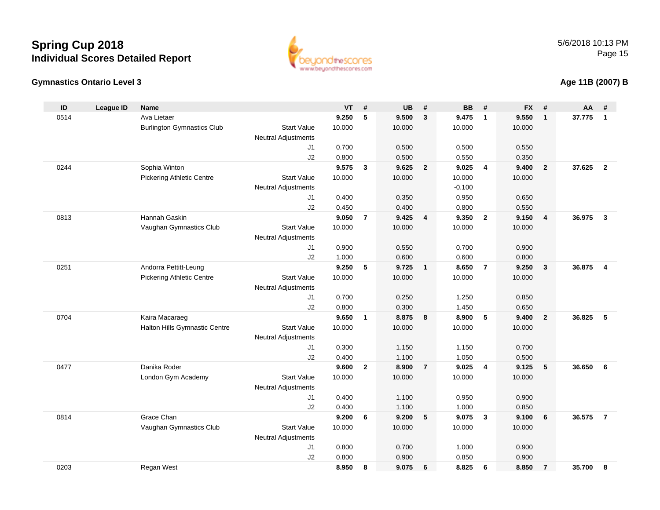#### **Gymnastics Ontario Level 3**

**ID**

0514

0244

0813

0251

0704

0477

www.beyondthescores.com

0.800 0.700 1.000 0.900

0.800 0.900 0.850 0.900

| D   | League ID | <b>Name</b>                       |                            | <b>VT</b> | #                       | <b>UB</b> | #              | <b>BB</b> | #              | <b>FX</b> | #              | AA     |                         |
|-----|-----------|-----------------------------------|----------------------------|-----------|-------------------------|-----------|----------------|-----------|----------------|-----------|----------------|--------|-------------------------|
| 514 |           | Ava Lietaer                       |                            | 9.250     | 5                       | 9.500     | $\mathbf{3}$   | 9.475     | $\mathbf{1}$   | 9.550     | 1              | 37.775 |                         |
|     |           | <b>Burlington Gymnastics Club</b> | <b>Start Value</b>         | 10.000    |                         | 10.000    |                | 10.000    |                | 10.000    |                |        |                         |
|     |           |                                   | <b>Neutral Adjustments</b> |           |                         |           |                |           |                |           |                |        |                         |
|     |           |                                   | J1                         | 0.700     |                         | 0.500     |                | 0.500     |                | 0.550     |                |        |                         |
|     |           |                                   | J2                         | 0.800     |                         | 0.500     |                | 0.550     |                | 0.350     |                |        |                         |
| 244 |           | Sophia Winton                     |                            | 9.575     | 3                       | 9.625     | $\overline{2}$ | 9.025     | 4              | 9.400     | $\overline{2}$ | 37.625 | $\overline{\mathbf{2}}$ |
|     |           | <b>Pickering Athletic Centre</b>  | <b>Start Value</b>         | 10.000    |                         | 10.000    |                | 10.000    |                | 10.000    |                |        |                         |
|     |           |                                   | <b>Neutral Adjustments</b> |           |                         |           |                | $-0.100$  |                |           |                |        |                         |
|     |           |                                   | J1                         | 0.400     |                         | 0.350     |                | 0.950     |                | 0.650     |                |        |                         |
|     |           |                                   | J2                         | 0.450     |                         | 0.400     |                | 0.800     |                | 0.550     |                |        |                         |
| 313 |           | Hannah Gaskin                     |                            | 9.050     | $\overline{7}$          | 9.425     | $\overline{4}$ | 9.350     | $\overline{2}$ | 9.150     | 4              | 36.975 |                         |
|     |           | Vaughan Gymnastics Club           | <b>Start Value</b>         | 10.000    |                         | 10.000    |                | 10.000    |                | 10.000    |                |        |                         |
|     |           |                                   | <b>Neutral Adjustments</b> |           |                         |           |                |           |                |           |                |        |                         |
|     |           |                                   | J1                         | 0.900     |                         | 0.550     |                | 0.700     |                | 0.900     |                |        |                         |
|     |           |                                   | J2                         | 1.000     |                         | 0.600     |                | 0.600     |                | 0.800     |                |        |                         |
| 251 |           | Andorra Pettitt-Leung             |                            | 9.250     | 5                       | 9.725     | $\overline{1}$ | 8.650     | 7              | 9.250     | $\mathbf{3}$   | 36.875 |                         |
|     |           | <b>Pickering Athletic Centre</b>  | <b>Start Value</b>         | 10.000    |                         | 10.000    |                | 10.000    |                | 10.000    |                |        |                         |
|     |           |                                   | <b>Neutral Adjustments</b> |           |                         |           |                |           |                |           |                |        |                         |
|     |           |                                   | J1                         | 0.700     |                         | 0.250     |                | 1.250     |                | 0.850     |                |        |                         |
|     |           |                                   | J2                         | 0.800     |                         | 0.300     |                | 1.450     |                | 0.650     |                |        |                         |
| 'በ4 |           | Kaira Macaraeg                    |                            | 9.650     | $\mathbf{1}$            | 8.875     | 8              | 8.900     | 5              | 9.400     | $\overline{2}$ | 36.825 | 5                       |
|     |           | Halton Hills Gymnastic Centre     | <b>Start Value</b>         | 10.000    |                         | 10.000    |                | 10.000    |                | 10.000    |                |        |                         |
|     |           |                                   | <b>Neutral Adjustments</b> |           |                         |           |                |           |                |           |                |        |                         |
|     |           |                                   | J1                         | 0.300     |                         | 1.150     |                | 1.150     |                | 0.700     |                |        |                         |
|     |           |                                   | J2                         | 0.400     |                         | 1.100     |                | 1.050     |                | 0.500     |                |        |                         |
| 177 |           | Danika Roder                      |                            | 9.600     | $\overline{\mathbf{2}}$ | 8.900     | $\overline{7}$ | 9.025     | 4              | 9.125     | 5              | 36.650 |                         |
|     |           | London Gym Academy                | <b>Start Value</b>         | 10.000    |                         | 10.000    |                | 10.000    |                | 10.000    |                |        |                         |
|     |           |                                   | <b>Neutral Adjustments</b> |           |                         |           |                |           |                |           |                |        |                         |
|     |           |                                   | J <sub>1</sub>             | 0.400     |                         | 1.100     |                | 0.950     |                | 0.900     |                |        |                         |
|     |           |                                   | J2                         | 0.400     |                         | 1.100     |                | 1.000     |                | 0.850     |                |        |                         |
| 314 |           | Grace Chan                        |                            | 9.200     | 6                       | 9.200     | - 5            | 9.075     | 3              | 9.100     | 6              | 36.575 |                         |
|     |           | Vaughan Gymnastics Club           | <b>Start Value</b>         | 10.000    |                         | 10.000    |                | 10.000    |                | 10.000    |                |        |                         |

Neutral Adjustments

J1

J2

#### **Age 11B (2007) B**

0203Regan West **8.950 <sup>8</sup> 9.075 <sup>6</sup> 8.825 <sup>6</sup> 8.850 <sup>7</sup> 35.700 <sup>8</sup>**

0814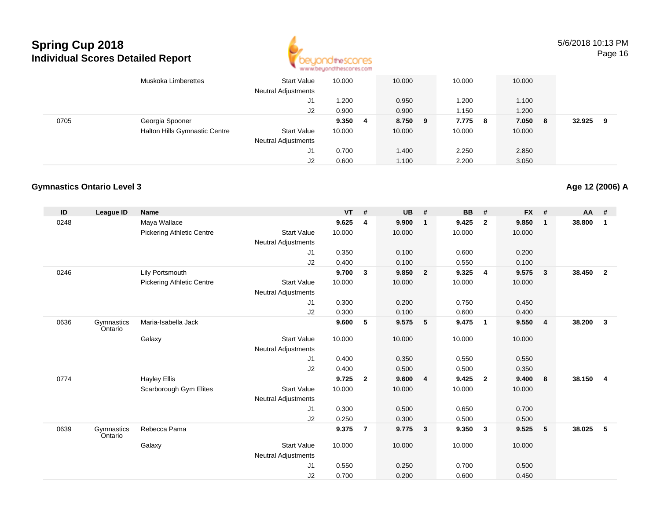

5/6/2018 10:13 PMPage 16

|      | Muskoka Limberettes           | <b>Start Value</b><br><b>Neutral Adjustments</b> | 10.000 |   | 10.000  | 10.000 |     | 10.000 |    |        |   |
|------|-------------------------------|--------------------------------------------------|--------|---|---------|--------|-----|--------|----|--------|---|
|      |                               | J1                                               | .200   |   | 0.950   | 1.200  |     | 1.100  |    |        |   |
|      |                               | J <sub>2</sub>                                   | 0.900  |   | 0.900   | 1.150  |     | 1.200  |    |        |   |
| 0705 | Georgia Spooner               |                                                  | 9.350  | 4 | 8.750 9 | 7.775  | - 8 | 7.050  | -8 | 32.925 | 9 |
|      | Halton Hills Gymnastic Centre | <b>Start Value</b>                               | 10.000 |   | 10.000  | 10.000 |     | 10.000 |    |        |   |
|      |                               | <b>Neutral Adjustments</b>                       |        |   |         |        |     |        |    |        |   |
|      |                               | J1                                               | 0.700  |   | 1.400   | 2.250  |     | 2.850  |    |        |   |
|      |                               | J2                                               | 0.600  |   | 1.100   | 2.200  |     | 3.050  |    |        |   |

#### **Gymnastics Ontario Level 3**

| ID   | <b>League ID</b>      | <b>Name</b>                      |                            | <b>VT</b> | #              | <b>UB</b> | #                       | <b>BB</b> | #                       | <b>FX</b> | #            | <b>AA</b> | #              |
|------|-----------------------|----------------------------------|----------------------------|-----------|----------------|-----------|-------------------------|-----------|-------------------------|-----------|--------------|-----------|----------------|
| 0248 |                       | Maya Wallace                     |                            | 9.625     | 4              | 9.900     | $\overline{1}$          | 9.425     | $\overline{2}$          | 9.850     | $\mathbf{1}$ | 38.800    | $\mathbf 1$    |
|      |                       | <b>Pickering Athletic Centre</b> | <b>Start Value</b>         | 10.000    |                | 10.000    |                         | 10.000    |                         | 10.000    |              |           |                |
|      |                       |                                  | <b>Neutral Adjustments</b> |           |                |           |                         |           |                         |           |              |           |                |
|      |                       |                                  | J1                         | 0.350     |                | 0.100     |                         | 0.600     |                         | 0.200     |              |           |                |
|      |                       |                                  | J2                         | 0.400     |                | 0.100     |                         | 0.550     |                         | 0.100     |              |           |                |
| 0246 |                       | Lily Portsmouth                  |                            | 9.700     | 3              | 9.850     | $\overline{2}$          | 9.325     | $\overline{4}$          | 9.575     | $\mathbf{3}$ | 38.450    | $\overline{2}$ |
|      |                       | <b>Pickering Athletic Centre</b> | <b>Start Value</b>         | 10.000    |                | 10.000    |                         | 10.000    |                         | 10.000    |              |           |                |
|      |                       |                                  | <b>Neutral Adjustments</b> |           |                |           |                         |           |                         |           |              |           |                |
|      |                       |                                  | J1                         | 0.300     |                | 0.200     |                         | 0.750     |                         | 0.450     |              |           |                |
|      |                       |                                  | J2                         | 0.300     |                | 0.100     |                         | 0.600     |                         | 0.400     |              |           |                |
| 0636 | Gymnastics<br>Ontario | Maria-Isabella Jack              |                            | 9.600     | 5              | 9.575     | 5                       | 9.475     | $\overline{\mathbf{1}}$ | 9.550     | 4            | 38.200    | $\mathbf{3}$   |
|      |                       | Galaxy                           | <b>Start Value</b>         | 10.000    |                | 10.000    |                         | 10.000    |                         | 10.000    |              |           |                |
|      |                       |                                  | <b>Neutral Adjustments</b> |           |                |           |                         |           |                         |           |              |           |                |
|      |                       |                                  | J1                         | 0.400     |                | 0.350     |                         | 0.550     |                         | 0.550     |              |           |                |
|      |                       |                                  | J2                         | 0.400     |                | 0.500     |                         | 0.500     |                         | 0.350     |              |           |                |
| 0774 |                       | <b>Hayley Ellis</b>              |                            | 9.725     | $\overline{2}$ | 9.600     | $\overline{4}$          | 9.425     | $\overline{2}$          | 9.400     | 8            | 38.150    | $\overline{4}$ |
|      |                       | Scarborough Gym Elites           | <b>Start Value</b>         | 10.000    |                | 10.000    |                         | 10.000    |                         | 10.000    |              |           |                |
|      |                       |                                  | <b>Neutral Adjustments</b> |           |                |           |                         |           |                         |           |              |           |                |
|      |                       |                                  | J1                         | 0.300     |                | 0.500     |                         | 0.650     |                         | 0.700     |              |           |                |
|      |                       |                                  | J2                         | 0.250     |                | 0.300     |                         | 0.500     |                         | 0.500     |              |           |                |
| 0639 | Gymnastics<br>Ontario | Rebecca Pama                     |                            | 9.375     | $\overline{7}$ | 9.775     | $\overline{\mathbf{3}}$ | 9.350     | $\mathbf{3}$            | 9.525     | 5            | 38.025    | 5              |
|      |                       | Galaxy                           | <b>Start Value</b>         | 10.000    |                | 10.000    |                         | 10.000    |                         | 10.000    |              |           |                |
|      |                       |                                  | <b>Neutral Adjustments</b> |           |                |           |                         |           |                         |           |              |           |                |
|      |                       |                                  | J1                         | 0.550     |                | 0.250     |                         | 0.700     |                         | 0.500     |              |           |                |
|      |                       |                                  | J2                         | 0.700     |                | 0.200     |                         | 0.600     |                         | 0.450     |              |           |                |

**Age 12 (2006) A**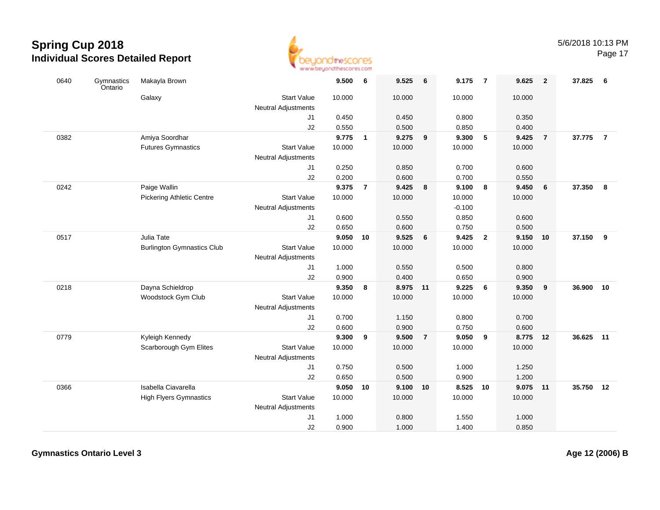

| 0640 | Gymnastics<br>Ontario | Makayla Brown                     |                                           | 9.500          | 6              | 9.525             | 6                       | 9.175          | $\overline{7}$ | 9.625          | $\overline{2}$ | 37.825    | - 6            |
|------|-----------------------|-----------------------------------|-------------------------------------------|----------------|----------------|-------------------|-------------------------|----------------|----------------|----------------|----------------|-----------|----------------|
|      |                       | Galaxy                            | <b>Start Value</b><br>Neutral Adjustments | 10.000         |                | 10.000            |                         | 10.000         |                | 10.000         |                |           |                |
|      |                       |                                   | J1                                        | 0.450          |                | 0.450             |                         | 0.800          |                | 0.350          |                |           |                |
|      |                       |                                   | J2                                        | 0.550          |                | 0.500             |                         | 0.850          |                | 0.400          |                |           |                |
| 0382 |                       | Amiya Soordhar                    |                                           | 9.775          | $\mathbf{1}$   | 9.275             | $\overline{\mathbf{9}}$ | 9.300          | 5              | 9.425          | $\overline{7}$ | 37.775    | $\overline{7}$ |
|      |                       | <b>Futures Gymnastics</b>         | <b>Start Value</b>                        | 10.000         |                | 10.000            |                         | 10.000         |                | 10.000         |                |           |                |
|      |                       |                                   | Neutral Adjustments                       |                |                |                   |                         |                |                |                |                |           |                |
|      |                       |                                   | J1                                        | 0.250          |                | 0.850             |                         | 0.700          |                | 0.600          |                |           |                |
|      |                       |                                   | J2                                        | 0.200          |                | 0.600             |                         | 0.700          |                | 0.550          |                |           |                |
| 0242 |                       | Paige Wallin                      |                                           | 9.375          | $\overline{7}$ | 9.425             | 8                       | 9.100          | 8              | 9.450          | 6              | 37.350    | 8              |
|      |                       | <b>Pickering Athletic Centre</b>  | <b>Start Value</b>                        | 10.000         |                | 10.000            |                         | 10.000         |                | 10.000         |                |           |                |
|      |                       |                                   | <b>Neutral Adjustments</b>                |                |                |                   |                         | $-0.100$       |                |                |                |           |                |
|      |                       |                                   | J1                                        | 0.600          |                | 0.550             |                         | 0.850          |                | 0.600          |                |           |                |
|      |                       |                                   | J2                                        | 0.650          |                | 0.600             |                         | 0.750          |                | 0.500          |                |           |                |
| 0517 |                       | Julia Tate                        |                                           | 9.050          | 10             | 9.525             | 6                       | 9.425          | $\overline{2}$ | 9.150          | 10             | 37.150    | - 9            |
|      |                       | <b>Burlington Gymnastics Club</b> | <b>Start Value</b>                        | 10.000         |                | 10.000            |                         | 10.000         |                | 10.000         |                |           |                |
|      |                       |                                   | <b>Neutral Adjustments</b>                |                |                |                   |                         |                |                |                |                |           |                |
|      |                       |                                   | J <sub>1</sub>                            | 1.000          |                | 0.550             |                         | 0.500          |                | 0.800          |                |           |                |
|      |                       |                                   | J2                                        | 0.900          |                | 0.400             |                         | 0.650          |                | 0.900          |                |           |                |
| 0218 |                       | Dayna Schieldrop                  |                                           | 9.350          | 8              | 8.975 11          |                         | 9.225          | 6              | 9.350          | 9              | 36.900    | 10             |
|      |                       | Woodstock Gym Club                | <b>Start Value</b>                        | 10.000         |                | 10.000            |                         | 10.000         |                | 10.000         |                |           |                |
|      |                       |                                   | <b>Neutral Adjustments</b>                |                |                |                   |                         |                |                |                |                |           |                |
|      |                       |                                   | J1                                        | 0.700          |                | 1.150             |                         | 0.800          |                | 0.700          |                |           |                |
|      |                       |                                   | J2                                        | 0.600          |                | 0.900             |                         | 0.750          |                | 0.600          |                |           |                |
| 0779 |                       | Kyleigh Kennedy                   | <b>Start Value</b>                        | 9.300          | 9              | 9.500             | $\overline{7}$          | 9.050          | $\overline{9}$ | 8.775          | 12             | 36.625    | 11             |
|      |                       | Scarborough Gym Elites            |                                           | 10.000         |                | 10.000            |                         | 10.000         |                | 10.000         |                |           |                |
|      |                       |                                   | <b>Neutral Adjustments</b>                | 0.750          |                | 0.500             |                         | 1.000          |                | 1.250          |                |           |                |
|      |                       |                                   | J1                                        |                |                |                   |                         |                |                |                |                |           |                |
| 0366 |                       | Isabella Ciavarella               | J2                                        | 0.650<br>9.050 | 10             | 0.500<br>9.100 10 |                         | 0.900<br>8.525 | 10             | 1.200<br>9.075 | 11             | 35.750 12 |                |
|      |                       | <b>High Flyers Gymnastics</b>     | <b>Start Value</b>                        | 10.000         |                | 10.000            |                         | 10.000         |                | 10.000         |                |           |                |
|      |                       |                                   |                                           |                |                |                   |                         |                |                |                |                |           |                |
|      |                       |                                   | Neutral Adjustments<br>J <sub>1</sub>     | 1.000          |                | 0.800             |                         | 1.550          |                | 1.000          |                |           |                |
|      |                       |                                   | J2                                        | 0.900          |                | 1.000             |                         | 1.400          |                | 0.850          |                |           |                |
|      |                       |                                   |                                           |                |                |                   |                         |                |                |                |                |           |                |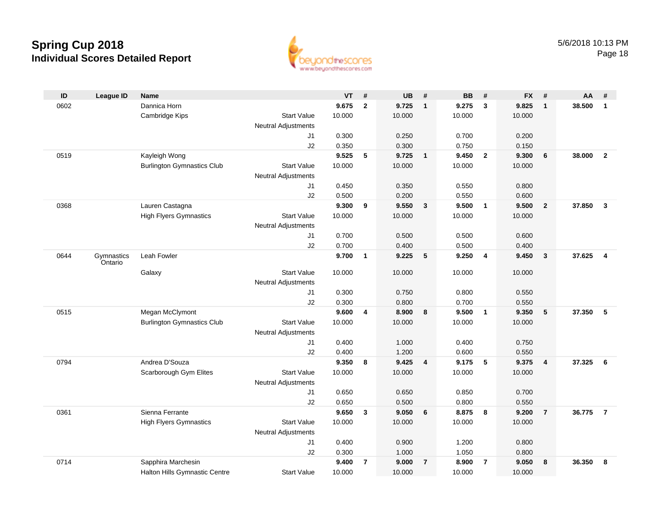

| ID   | <b>League ID</b>      | <b>Name</b>                       |                            | <b>VT</b> | #              | <b>UB</b> | #              | <b>BB</b> | #                       | <b>FX</b> | #              | AA     | #                       |
|------|-----------------------|-----------------------------------|----------------------------|-----------|----------------|-----------|----------------|-----------|-------------------------|-----------|----------------|--------|-------------------------|
| 0602 |                       | Dannica Horn                      |                            | 9.675     | $\mathbf{2}$   | 9.725     | $\mathbf{1}$   | 9.275     | 3                       | 9.825     | $\mathbf{1}$   | 38.500 | $\mathbf{1}$            |
|      |                       | Cambridge Kips                    | <b>Start Value</b>         | 10.000    |                | 10.000    |                | 10.000    |                         | 10.000    |                |        |                         |
|      |                       |                                   | <b>Neutral Adjustments</b> |           |                |           |                |           |                         |           |                |        |                         |
|      |                       |                                   | J1                         | 0.300     |                | 0.250     |                | 0.700     |                         | 0.200     |                |        |                         |
|      |                       |                                   | J2                         | 0.350     |                | 0.300     |                | 0.750     |                         | 0.150     |                |        |                         |
| 0519 |                       | Kayleigh Wong                     |                            | 9.525     | 5              | 9.725     | $\overline{1}$ | 9.450     | $\overline{2}$          | 9.300     | 6              | 38.000 | $\overline{2}$          |
|      |                       | <b>Burlington Gymnastics Club</b> | <b>Start Value</b>         | 10.000    |                | 10.000    |                | 10.000    |                         | 10.000    |                |        |                         |
|      |                       |                                   | <b>Neutral Adjustments</b> |           |                |           |                |           |                         |           |                |        |                         |
|      |                       |                                   | J1                         | 0.450     |                | 0.350     |                | 0.550     |                         | 0.800     |                |        |                         |
|      |                       |                                   | J2                         | 0.500     |                | 0.200     |                | 0.550     |                         | 0.600     |                |        |                         |
| 0368 |                       | Lauren Castagna                   |                            | 9.300     | 9              | 9.550     | $\mathbf{3}$   | 9.500     | $\overline{\mathbf{1}}$ | 9.500     | $\overline{2}$ | 37.850 | $\overline{\mathbf{3}}$ |
|      |                       | <b>High Flyers Gymnastics</b>     | <b>Start Value</b>         | 10.000    |                | 10.000    |                | 10.000    |                         | 10.000    |                |        |                         |
|      |                       |                                   | <b>Neutral Adjustments</b> |           |                |           |                |           |                         |           |                |        |                         |
|      |                       |                                   | J1                         | 0.700     |                | 0.500     |                | 0.500     |                         | 0.600     |                |        |                         |
|      |                       |                                   | J2                         | 0.700     |                | 0.400     |                | 0.500     |                         | 0.400     |                |        |                         |
| 0644 | Gymnastics<br>Ontario | Leah Fowler                       |                            | 9.700     | $\mathbf{1}$   | 9.225     | 5              | 9.250     | $\overline{\mathbf{4}}$ | 9.450     | $\mathbf{3}$   | 37.625 | $\overline{4}$          |
|      |                       | Galaxy                            | <b>Start Value</b>         | 10.000    |                | 10.000    |                | 10.000    |                         | 10.000    |                |        |                         |
|      |                       |                                   | <b>Neutral Adjustments</b> |           |                |           |                |           |                         |           |                |        |                         |
|      |                       |                                   | J1                         | 0.300     |                | 0.750     |                | 0.800     |                         | 0.550     |                |        |                         |
|      |                       |                                   | J2                         | 0.300     |                | 0.800     |                | 0.700     |                         | 0.550     |                |        |                         |
| 0515 |                       | Megan McClymont                   |                            | 9.600     | 4              | 8.900     | 8              | 9.500     | $\overline{1}$          | 9.350     | 5              | 37.350 | 5                       |
|      |                       | <b>Burlington Gymnastics Club</b> | <b>Start Value</b>         | 10.000    |                | 10.000    |                | 10.000    |                         | 10.000    |                |        |                         |
|      |                       |                                   | <b>Neutral Adjustments</b> |           |                |           |                |           |                         |           |                |        |                         |
|      |                       |                                   | J1                         | 0.400     |                | 1.000     |                | 0.400     |                         | 0.750     |                |        |                         |
|      |                       |                                   | J2                         | 0.400     |                | 1.200     |                | 0.600     |                         | 0.550     |                |        |                         |
| 0794 |                       | Andrea D'Souza                    |                            | 9.350     | 8              | 9.425     | 4              | 9.175     | 5                       | 9.375     | $\overline{4}$ | 37.325 | 6                       |
|      |                       | Scarborough Gym Elites            | <b>Start Value</b>         | 10.000    |                | 10.000    |                | 10.000    |                         | 10.000    |                |        |                         |
|      |                       |                                   | <b>Neutral Adjustments</b> |           |                |           |                |           |                         |           |                |        |                         |
|      |                       |                                   | J1                         | 0.650     |                | 0.650     |                | 0.850     |                         | 0.700     |                |        |                         |
|      |                       |                                   | J2                         | 0.650     |                | 0.500     |                | 0.800     |                         | 0.550     |                |        |                         |
| 0361 |                       | Sienna Ferrante                   |                            | 9.650     | 3              | 9.050     | 6              | 8.875     | 8                       | 9.200     | $\overline{7}$ | 36.775 | $\overline{7}$          |
|      |                       | <b>High Flyers Gymnastics</b>     | <b>Start Value</b>         | 10.000    |                | 10.000    |                | 10.000    |                         | 10.000    |                |        |                         |
|      |                       |                                   | <b>Neutral Adjustments</b> |           |                |           |                |           |                         |           |                |        |                         |
|      |                       |                                   | J1                         | 0.400     |                | 0.900     |                | 1.200     |                         | 0.800     |                |        |                         |
|      |                       |                                   | J2                         | 0.300     |                | 1.000     |                | 1.050     |                         | 0.800     |                |        |                         |
| 0714 |                       | Sapphira Marchesin                |                            | 9.400     | $\overline{7}$ | 9.000     | $\overline{7}$ | 8.900     | $\overline{7}$          | 9.050     | 8              | 36.350 | 8                       |
|      |                       | Halton Hills Gymnastic Centre     | <b>Start Value</b>         | 10.000    |                | 10.000    |                | 10.000    |                         | 10.000    |                |        |                         |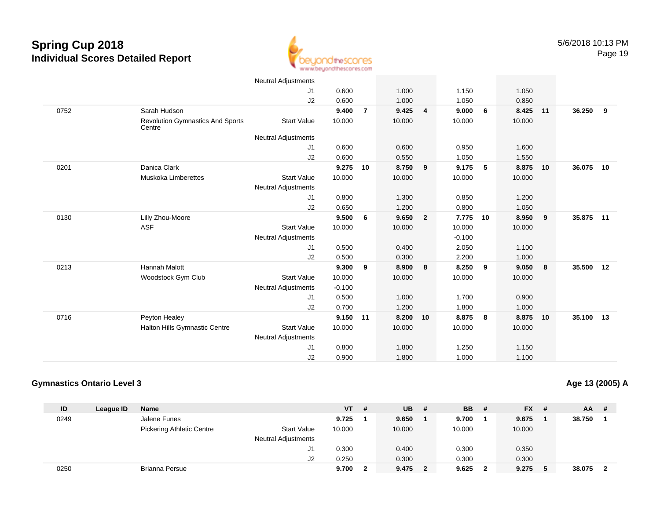

|      |                                                   | <b>Neutral Adjustments</b> |          |                |        |                |          |                          |        |    |        |    |
|------|---------------------------------------------------|----------------------------|----------|----------------|--------|----------------|----------|--------------------------|--------|----|--------|----|
|      |                                                   | J1                         | 0.600    |                | 1.000  |                | 1.150    |                          | 1.050  |    |        |    |
|      |                                                   | J2                         | 0.600    |                | 1.000  |                | 1.050    |                          | 0.850  |    |        |    |
| 0752 | Sarah Hudson                                      |                            | 9.400    | $\overline{7}$ | 9.425  | $\overline{4}$ | 9.000    | 6                        | 8.425  | 11 | 36.250 | 9  |
|      | <b>Revolution Gymnastics And Sports</b><br>Centre | <b>Start Value</b>         | 10.000   |                | 10.000 |                | 10.000   |                          | 10.000 |    |        |    |
|      |                                                   | <b>Neutral Adjustments</b> |          |                |        |                |          |                          |        |    |        |    |
|      |                                                   | J1                         | 0.600    |                | 0.600  |                | 0.950    |                          | 1.600  |    |        |    |
|      |                                                   | J2                         | 0.600    |                | 0.550  |                | 1.050    |                          | 1.550  |    |        |    |
| 0201 | Danica Clark                                      |                            | 9.275    | 10             | 8.750  | 9              | 9.175    | $\overline{\phantom{0}}$ | 8.875  | 10 | 36.075 | 10 |
|      | Muskoka Limberettes                               | <b>Start Value</b>         | 10.000   |                | 10.000 |                | 10.000   |                          | 10.000 |    |        |    |
|      |                                                   | <b>Neutral Adjustments</b> |          |                |        |                |          |                          |        |    |        |    |
|      |                                                   | J1                         | 0.800    |                | 1.300  |                | 0.850    |                          | 1.200  |    |        |    |
|      |                                                   | J2                         | 0.650    |                | 1.200  |                | 0.800    |                          | 1.050  |    |        |    |
| 0130 | Lilly Zhou-Moore                                  |                            | 9.500    | 6              | 9.650  | $\overline{2}$ | 7.775    | 10                       | 8.950  | 9  | 35.875 | 11 |
|      | <b>ASF</b>                                        | <b>Start Value</b>         | 10.000   |                | 10.000 |                | 10.000   |                          | 10.000 |    |        |    |
|      |                                                   | <b>Neutral Adjustments</b> |          |                |        |                | $-0.100$ |                          |        |    |        |    |
|      |                                                   | J1                         | 0.500    |                | 0.400  |                | 2.050    |                          | 1.100  |    |        |    |
|      |                                                   | J2                         | 0.500    |                | 0.300  |                | 2.200    |                          | 1.000  |    |        |    |
| 0213 | <b>Hannah Malott</b>                              |                            | 9.300    | 9              | 8.900  | 8              | 8.250    | 9                        | 9.050  | 8  | 35.500 | 12 |
|      | Woodstock Gym Club                                | <b>Start Value</b>         | 10.000   |                | 10.000 |                | 10.000   |                          | 10.000 |    |        |    |
|      |                                                   | <b>Neutral Adjustments</b> | $-0.100$ |                |        |                |          |                          |        |    |        |    |
|      |                                                   | J1                         | 0.500    |                | 1.000  |                | 1.700    |                          | 0.900  |    |        |    |
|      |                                                   | J2                         | 0.700    |                | 1.200  |                | 1.800    |                          | 1.000  |    |        |    |
| 0716 | Peyton Healey                                     |                            | 9.150 11 |                | 8.200  | 10             | 8.875    | 8                        | 8.875  | 10 | 35.100 | 13 |
|      | Halton Hills Gymnastic Centre                     | <b>Start Value</b>         | 10.000   |                | 10.000 |                | 10.000   |                          | 10.000 |    |        |    |
|      |                                                   | <b>Neutral Adjustments</b> |          |                |        |                |          |                          |        |    |        |    |
|      |                                                   | J <sub>1</sub>             | 0.800    |                | 1.800  |                | 1.250    |                          | 1.150  |    |        |    |
|      |                                                   | J2                         | 0.900    |                | 1.800  |                | 1.000    |                          | 1.100  |    |        |    |

#### **Gymnastics Ontario Level 3**

**Age 13 (2005) A**

| ID   | League ID | Name                             |                            | VT \   | # | <b>UB</b> | #            | <b>BB</b> | - #                     | <b>FX</b> | -# | <b>AA</b> | # |
|------|-----------|----------------------------------|----------------------------|--------|---|-----------|--------------|-----------|-------------------------|-----------|----|-----------|---|
| 0249 |           | Jalene Funes                     |                            | 9.725  |   | 9.650     |              | 9.700     |                         | 9.675     |    | 38.750    |   |
|      |           | <b>Pickering Athletic Centre</b> | <b>Start Value</b>         | 10.000 |   | 10.000    |              | 10.000    |                         | 10.000    |    |           |   |
|      |           |                                  | <b>Neutral Adjustments</b> |        |   |           |              |           |                         |           |    |           |   |
|      |           |                                  | J1                         | 0.300  |   | 0.400     |              | 0.300     |                         | 0.350     |    |           |   |
|      |           |                                  | J2                         | 0.250  |   | 0.300     |              | 0.300     |                         | 0.300     |    |           |   |
| 0250 |           | <b>Brianna Persue</b>            |                            | 9.700  |   | 9.475     | $\mathbf{2}$ | 9.625     | $\overline{\mathbf{2}}$ | 9.275     |    | 38.075    |   |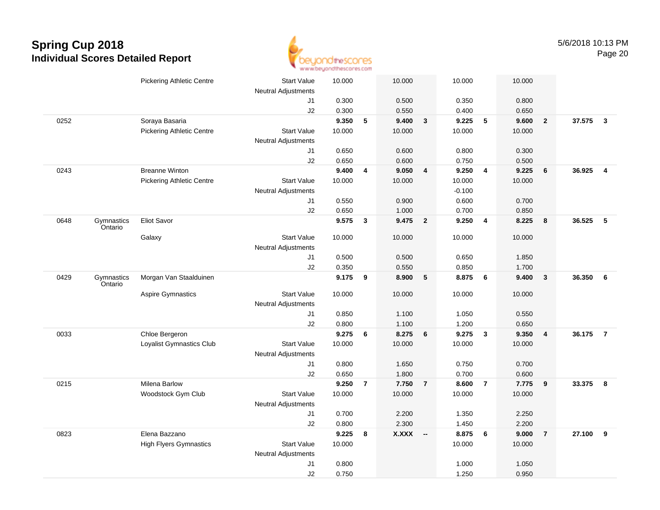

|      |                       | <b>Pickering Athletic Centre</b> | <b>Start Value</b>         | 10.000 |                | 10.000    |                | 10.000   |                | 10.000 |                         |          |                         |
|------|-----------------------|----------------------------------|----------------------------|--------|----------------|-----------|----------------|----------|----------------|--------|-------------------------|----------|-------------------------|
|      |                       |                                  | <b>Neutral Adjustments</b> |        |                |           |                |          |                |        |                         |          |                         |
|      |                       |                                  | J1                         | 0.300  |                | 0.500     |                | 0.350    |                | 0.800  |                         |          |                         |
|      |                       |                                  | J2                         | 0.300  |                | 0.550     |                | 0.400    |                | 0.650  |                         |          |                         |
| 0252 |                       | Soraya Basaria                   |                            | 9.350  | 5              | 9.400     | $\mathbf{3}$   | 9.225    | 5              | 9.600  | $\overline{2}$          | 37.575   | $\overline{\mathbf{3}}$ |
|      |                       | <b>Pickering Athletic Centre</b> | <b>Start Value</b>         | 10.000 |                | 10.000    |                | 10.000   |                | 10.000 |                         |          |                         |
|      |                       |                                  | <b>Neutral Adjustments</b> |        |                |           |                |          |                |        |                         |          |                         |
|      |                       |                                  | J1                         | 0.650  |                | 0.600     |                | 0.800    |                | 0.300  |                         |          |                         |
|      |                       |                                  | J2                         | 0.650  |                | 0.600     |                | 0.750    |                | 0.500  |                         |          |                         |
| 0243 |                       | <b>Breanne Winton</b>            |                            | 9.400  | 4              | 9.050     | 4              | 9.250    | $\overline{4}$ | 9.225  | 6                       | 36.925   | $\overline{4}$          |
|      |                       | <b>Pickering Athletic Centre</b> | <b>Start Value</b>         | 10.000 |                | 10.000    |                | 10.000   |                | 10.000 |                         |          |                         |
|      |                       |                                  | <b>Neutral Adjustments</b> |        |                |           |                | $-0.100$ |                |        |                         |          |                         |
|      |                       |                                  | J1                         | 0.550  |                | 0.900     |                | 0.600    |                | 0.700  |                         |          |                         |
|      |                       |                                  | J2                         | 0.650  |                | 1.000     |                | 0.700    |                | 0.850  |                         |          |                         |
| 0648 | Gymnastics<br>Ontario | Eliot Savor                      |                            | 9.575  | $\mathbf{3}$   | 9.475     | $\overline{2}$ | 9.250    | $\overline{4}$ | 8.225  | 8                       | 36.525   | 5                       |
|      |                       | Galaxy                           | <b>Start Value</b>         | 10.000 |                | 10.000    |                | 10.000   |                | 10.000 |                         |          |                         |
|      |                       |                                  | <b>Neutral Adjustments</b> |        |                |           |                |          |                |        |                         |          |                         |
|      |                       |                                  | J1                         | 0.500  |                | 0.500     |                | 0.650    |                | 1.850  |                         |          |                         |
|      |                       |                                  | J2                         | 0.350  |                | 0.550     |                | 0.850    |                | 1.700  |                         |          |                         |
| 0429 | Gymnastics<br>Ontario | Morgan Van Staalduinen           |                            | 9.175  | 9              | 8.900     | $\sqrt{5}$     | 8.875    | 6              | 9.400  | $\overline{\mathbf{3}}$ | 36.350   | 6                       |
|      |                       | <b>Aspire Gymnastics</b>         | <b>Start Value</b>         | 10.000 |                | 10.000    |                | 10.000   |                | 10.000 |                         |          |                         |
|      |                       |                                  | <b>Neutral Adjustments</b> |        |                |           |                |          |                |        |                         |          |                         |
|      |                       |                                  | J1                         | 0.850  |                | 1.100     |                | 1.050    |                | 0.550  |                         |          |                         |
|      |                       |                                  | J2                         | 0.800  |                | 1.100     |                | 1.200    |                | 0.650  |                         |          |                         |
| 0033 |                       | Chloe Bergeron                   |                            | 9.275  | 6              | 8.275     | 6              | 9.275    | $\mathbf{3}$   | 9.350  | $\overline{4}$          | 36.175   | $\overline{7}$          |
|      |                       | Loyalist Gymnastics Club         | <b>Start Value</b>         | 10.000 |                | 10.000    |                | 10.000   |                | 10.000 |                         |          |                         |
|      |                       |                                  | <b>Neutral Adjustments</b> |        |                |           |                |          |                |        |                         |          |                         |
|      |                       |                                  | J1                         | 0.800  |                | 1.650     |                | 0.750    |                | 0.700  |                         |          |                         |
|      |                       |                                  | J2                         | 0.650  |                | 1.800     |                | 0.700    |                | 0.600  |                         |          |                         |
| 0215 |                       | <b>Milena Barlow</b>             |                            | 9.250  | $\overline{7}$ | 7.750     | $\overline{7}$ | 8.600    | $\overline{7}$ | 7.775  | 9                       | 33.375 8 |                         |
|      |                       | Woodstock Gym Club               | <b>Start Value</b>         | 10.000 |                | 10.000    |                | 10.000   |                | 10.000 |                         |          |                         |
|      |                       |                                  | <b>Neutral Adjustments</b> |        |                |           |                |          |                |        |                         |          |                         |
|      |                       |                                  | J1                         | 0.700  |                | 2.200     |                | 1.350    |                | 2.250  |                         |          |                         |
|      |                       |                                  | J2                         | 0.800  |                | 2.300     |                | 1.450    |                | 2.200  |                         |          |                         |
| 0823 |                       | Elena Bazzano                    |                            | 9.225  | 8              | $X.XXX$ - |                | 8.875    | 6              | 9.000  | $\overline{7}$          | 27.100   | 9                       |
|      |                       | <b>High Flyers Gymnastics</b>    | <b>Start Value</b>         | 10.000 |                |           |                | 10.000   |                | 10.000 |                         |          |                         |
|      |                       |                                  | <b>Neutral Adjustments</b> |        |                |           |                |          |                |        |                         |          |                         |
|      |                       |                                  | J1                         | 0.800  |                |           |                | 1.000    |                | 1.050  |                         |          |                         |
|      |                       |                                  | J2                         | 0.750  |                |           |                | 1.250    |                | 0.950  |                         |          |                         |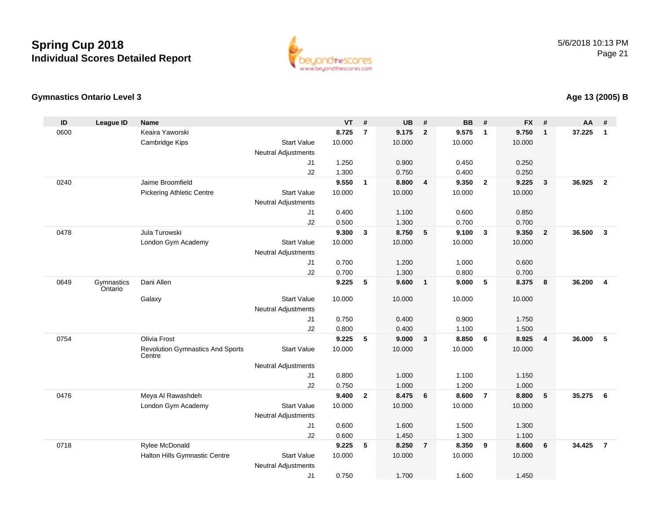

#### **Gymnastics Ontario Level 3**

| ID   | <b>League ID</b>      | <b>Name</b>                                       |                            | <b>VT</b> | #              | <b>UB</b> | #                       | <b>BB</b> | #                       | <b>FX</b> | #               | AA     | #                       |
|------|-----------------------|---------------------------------------------------|----------------------------|-----------|----------------|-----------|-------------------------|-----------|-------------------------|-----------|-----------------|--------|-------------------------|
| 0600 |                       | Keaira Yaworski                                   |                            | 8.725     | $\overline{7}$ | 9.175     | $\overline{2}$          | 9.575     | $\overline{1}$          | 9.750     | $\mathbf{1}$    | 37.225 | $\mathbf{1}$            |
|      |                       | Cambridge Kips                                    | <b>Start Value</b>         | 10.000    |                | 10.000    |                         | 10.000    |                         | 10.000    |                 |        |                         |
|      |                       |                                                   | <b>Neutral Adjustments</b> |           |                |           |                         |           |                         |           |                 |        |                         |
|      |                       |                                                   | J <sub>1</sub>             | 1.250     |                | 0.900     |                         | 0.450     |                         | 0.250     |                 |        |                         |
|      |                       |                                                   | J2                         | 1.300     |                | 0.750     |                         | 0.400     |                         | 0.250     |                 |        |                         |
| 0240 |                       | Jaime Broomfield                                  |                            | 9.550     | $\mathbf{1}$   | 8.800     | $\overline{4}$          | 9.350     | $\overline{2}$          | 9.225     | $\mathbf{3}$    | 36.925 | $\overline{2}$          |
|      |                       | <b>Pickering Athletic Centre</b>                  | <b>Start Value</b>         | 10.000    |                | 10.000    |                         | 10.000    |                         | 10.000    |                 |        |                         |
|      |                       |                                                   | <b>Neutral Adjustments</b> |           |                |           |                         |           |                         |           |                 |        |                         |
|      |                       |                                                   | J <sub>1</sub>             | 0.400     |                | 1.100     |                         | 0.600     |                         | 0.850     |                 |        |                         |
|      |                       |                                                   | J2                         | 0.500     |                | 1.300     |                         | 0.700     |                         | 0.700     |                 |        |                         |
| 0478 |                       | Jula Turowski                                     |                            | 9.300     | $\mathbf{3}$   | 8.750     | $-5$                    | 9.100     | $\overline{\mathbf{3}}$ | 9.350     | $\overline{2}$  | 36.500 | $\overline{\mathbf{3}}$ |
|      |                       | London Gym Academy                                | <b>Start Value</b>         | 10.000    |                | 10.000    |                         | 10.000    |                         | 10.000    |                 |        |                         |
|      |                       |                                                   | <b>Neutral Adjustments</b> |           |                |           |                         |           |                         |           |                 |        |                         |
|      |                       |                                                   | J <sub>1</sub>             | 0.700     |                | 1.200     |                         | 1.000     |                         | 0.600     |                 |        |                         |
|      |                       |                                                   | J2                         | 0.700     |                | 1.300     |                         | 0.800     |                         | 0.700     |                 |        |                         |
| 0649 | Gymnastics<br>Ontario | Dani Allen                                        |                            | 9.225     | 5              | 9.600     | $\overline{\mathbf{1}}$ | 9.000     | 5                       | 8.375     | 8               | 36.200 | $\overline{4}$          |
|      |                       | Galaxy                                            | <b>Start Value</b>         | 10.000    |                | 10.000    |                         | 10.000    |                         | 10.000    |                 |        |                         |
|      |                       |                                                   | <b>Neutral Adjustments</b> |           |                |           |                         |           |                         |           |                 |        |                         |
|      |                       |                                                   | J <sub>1</sub>             | 0.750     |                | 0.400     |                         | 0.900     |                         | 1.750     |                 |        |                         |
|      |                       |                                                   | J2                         | 0.800     |                | 0.400     |                         | 1.100     |                         | 1.500     |                 |        |                         |
| 0754 |                       | <b>Olivia Frost</b>                               |                            | 9.225     | 5              | 9.000     | $\mathbf{3}$            | 8.850     | 6                       | 8.925     | $\overline{4}$  | 36.000 | 5                       |
|      |                       | <b>Revolution Gymnastics And Sports</b><br>Centre | <b>Start Value</b>         | 10.000    |                | 10.000    |                         | 10.000    |                         | 10.000    |                 |        |                         |
|      |                       |                                                   | <b>Neutral Adjustments</b> |           |                |           |                         |           |                         |           |                 |        |                         |
|      |                       |                                                   | J <sub>1</sub>             | 0.800     |                | 1.000     |                         | 1.100     |                         | 1.150     |                 |        |                         |
|      |                       |                                                   | J2                         | 0.750     |                | 1.000     |                         | 1.200     |                         | 1.000     |                 |        |                         |
| 0476 |                       | Meya Al Rawashdeh                                 |                            | 9.400     | $\overline{2}$ | 8.475     | 6                       | 8.600     | $\overline{7}$          | 8.800     | 5               | 35.275 | 6                       |
|      |                       | London Gym Academy                                | <b>Start Value</b>         | 10.000    |                | 10.000    |                         | 10.000    |                         | 10.000    |                 |        |                         |
|      |                       |                                                   | <b>Neutral Adjustments</b> |           |                |           |                         |           |                         |           |                 |        |                         |
|      |                       |                                                   | J1                         | 0.600     |                | 1.600     |                         | 1.500     |                         | 1.300     |                 |        |                         |
|      |                       |                                                   | J2                         | 0.600     |                | 1.450     |                         | 1.300     |                         | 1.100     |                 |        |                         |
| 0718 |                       | Rylee McDonald                                    |                            | 9.225     | 5              | 8.250     | $\overline{7}$          | 8.350     | 9                       | 8.600     | $6\phantom{1}6$ | 34.425 | $\overline{7}$          |
|      |                       | Halton Hills Gymnastic Centre                     | <b>Start Value</b>         | 10.000    |                | 10.000    |                         | 10.000    |                         | 10.000    |                 |        |                         |
|      |                       |                                                   | <b>Neutral Adjustments</b> |           |                |           |                         |           |                         |           |                 |        |                         |
|      |                       |                                                   | J <sub>1</sub>             | 0.750     |                | 1.700     |                         | 1.600     |                         | 1.450     |                 |        |                         |

### **Age 13 (2005) B**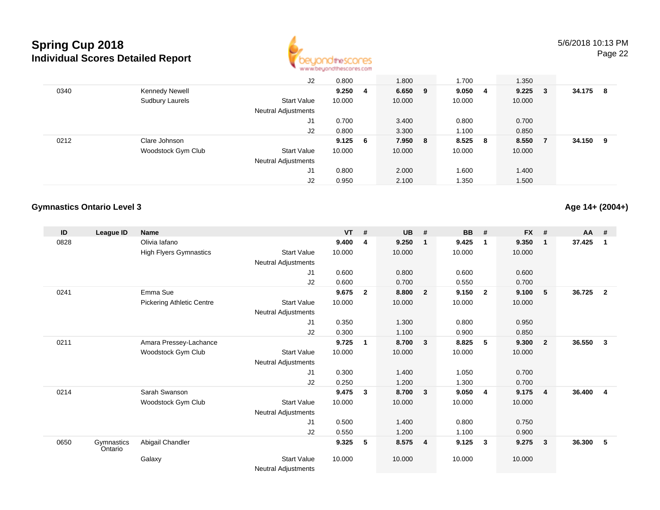

|      |                        | J2                         | 0.800     | 1.800     | 1.700  |     | 1.350  |     |        |    |
|------|------------------------|----------------------------|-----------|-----------|--------|-----|--------|-----|--------|----|
| 0340 | Kennedy Newell         |                            | 9.250 4   | $6.650$ 9 | 9.0504 |     | 9.225  | 3   | 34.175 | -8 |
|      | <b>Sudbury Laurels</b> | <b>Start Value</b>         | 10.000    | 10.000    | 10.000 |     | 10.000 |     |        |    |
|      |                        | Neutral Adjustments        |           |           |        |     |        |     |        |    |
|      |                        | J1                         | 0.700     | 3.400     | 0.800  |     | 0.700  |     |        |    |
|      |                        | J2                         | 0.800     | 3.300     | 1.100  |     | 0.850  |     |        |    |
| 0212 | Clare Johnson          |                            | $9.125$ 6 | 7.950 8   | 8.525  | - 8 | 8.550  | - 7 | 34.150 | 9  |
|      | Woodstock Gym Club     | <b>Start Value</b>         | 10.000    | 10.000    | 10.000 |     | 10.000 |     |        |    |
|      |                        | <b>Neutral Adjustments</b> |           |           |        |     |        |     |        |    |
|      |                        | J1                         | 0.800     | 2.000     | 1.600  |     | 1.400  |     |        |    |
|      |                        | J <sub>2</sub>             | 0.950     | 2.100     | 1.350  |     | 1.500  |     |        |    |

#### **Gymnastics Ontario Level 3**

**Age 14+ (2004+)**

| ID   | League ID             | <b>Name</b>                      |                            | <b>VT</b> | #            | <b>UB</b> | #                       | <b>BB</b> | #                       | <b>FX</b> | #              | <b>AA</b> | #              |
|------|-----------------------|----------------------------------|----------------------------|-----------|--------------|-----------|-------------------------|-----------|-------------------------|-----------|----------------|-----------|----------------|
| 0828 |                       | Olivia lafano                    |                            | 9.400     | 4            | 9.250     | -1                      | 9.425     | $\mathbf 1$             | 9.350     | $\mathbf{1}$   | 37.425    | 1              |
|      |                       | <b>High Flyers Gymnastics</b>    | <b>Start Value</b>         | 10.000    |              | 10.000    |                         | 10.000    |                         | 10.000    |                |           |                |
|      |                       |                                  | <b>Neutral Adjustments</b> |           |              |           |                         |           |                         |           |                |           |                |
|      |                       |                                  | J1                         | 0.600     |              | 0.800     |                         | 0.600     |                         | 0.600     |                |           |                |
|      |                       |                                  | J2                         | 0.600     |              | 0.700     |                         | 0.550     |                         | 0.700     |                |           |                |
| 0241 |                       | Emma Sue                         |                            | 9.675     | $\mathbf{2}$ | 8.800     | $\overline{2}$          | 9.150     | $\overline{\mathbf{2}}$ | 9.100     | 5              | 36.725    | $\mathbf{2}$   |
|      |                       | <b>Pickering Athletic Centre</b> | <b>Start Value</b>         | 10.000    |              | 10.000    |                         | 10.000    |                         | 10.000    |                |           |                |
|      |                       |                                  | Neutral Adjustments        |           |              |           |                         |           |                         |           |                |           |                |
|      |                       |                                  | J1                         | 0.350     |              | 1.300     |                         | 0.800     |                         | 0.950     |                |           |                |
|      |                       |                                  | J <sub>2</sub>             | 0.300     |              | 1.100     |                         | 0.900     |                         | 0.850     |                |           |                |
| 0211 |                       | Amara Pressey-Lachance           |                            | 9.725     | $\mathbf{1}$ | 8.700     | $\overline{\mathbf{3}}$ | 8.825     | -5                      | 9.300     | $\overline{2}$ | 36.550    | $\mathbf{3}$   |
|      |                       | Woodstock Gym Club               | <b>Start Value</b>         | 10.000    |              | 10.000    |                         | 10.000    |                         | 10.000    |                |           |                |
|      |                       |                                  | <b>Neutral Adjustments</b> |           |              |           |                         |           |                         |           |                |           |                |
|      |                       |                                  | J <sub>1</sub>             | 0.300     |              | 1.400     |                         | 1.050     |                         | 0.700     |                |           |                |
|      |                       |                                  | J <sub>2</sub>             | 0.250     |              | 1.200     |                         | 1.300     |                         | 0.700     |                |           |                |
| 0214 |                       | Sarah Swanson                    |                            | 9.475     | 3            | 8.700     | $\overline{\mathbf{3}}$ | 9.050     | $\overline{4}$          | 9.175     | 4              | 36.400    | $\overline{4}$ |
|      |                       | Woodstock Gym Club               | <b>Start Value</b>         | 10.000    |              | 10.000    |                         | 10.000    |                         | 10.000    |                |           |                |
|      |                       |                                  | <b>Neutral Adjustments</b> |           |              |           |                         |           |                         |           |                |           |                |
|      |                       |                                  | J <sub>1</sub>             | 0.500     |              | 1.400     |                         | 0.800     |                         | 0.750     |                |           |                |
|      |                       |                                  | J2                         | 0.550     |              | 1.200     |                         | 1.100     |                         | 0.900     |                |           |                |
| 0650 | Gymnastics<br>Ontario | Abigail Chandler                 |                            | 9.325     | 5            | 8.575     | $\overline{\mathbf{4}}$ | 9.125     | $\mathbf{3}$            | 9.275     | $\mathbf{3}$   | 36.300    | 5              |
|      |                       | Galaxy                           | <b>Start Value</b>         | 10.000    |              | 10.000    |                         | 10.000    |                         | 10.000    |                |           |                |
|      |                       |                                  | Neutral Adjustments        |           |              |           |                         |           |                         |           |                |           |                |